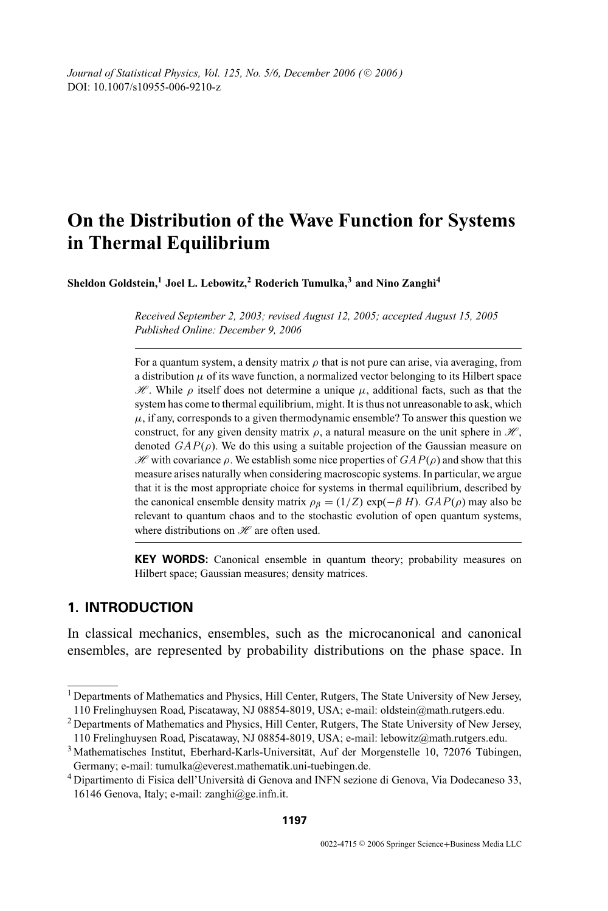*Journal of Statistical Physics, Vol. 125, No. 5/6, December 2006 (* $\odot$  *2006)* DOI: 10.1007/s10955-006-9210-z

# **On the Distribution of the Wave Function for Systems in Thermal Equilibrium**

 $\boldsymbol{\mathrm{Sheddon}}$  Goldstein, $^1$  Joel L. Lebowitz, $^2$  Roderich Tumulka, $^3$  and Nino Zanghì $^4$ 

*Received September 2, 2003; revised August 12, 2005; accepted August 15, 2005 Published Online: December 9, 2006*

For a quantum system, a density matrix  $\rho$  that is not pure can arise, via averaging, from a distribution  $\mu$  of its wave function, a normalized vector belonging to its Hilbert space  $\mathcal{H}$ . While  $\rho$  itself does not determine a unique  $\mu$ , additional facts, such as that the system has come to thermal equilibrium, might. It is thus not unreasonable to ask, which  $\mu$ , if any, corresponds to a given thermodynamic ensemble? To answer this question we construct, for any given density matrix  $\rho$ , a natural measure on the unit sphere in  $\mathcal{H}$ , denoted  $GAP(\rho)$ . We do this using a suitable projection of the Gaussian measure on  $\mathcal{H}$  with covariance  $\rho$ . We establish some nice properties of  $GAP(\rho)$  and show that this measure arises naturally when considering macroscopic systems. In particular, we argue that it is the most appropriate choice for systems in thermal equilibrium, described by the canonical ensemble density matrix  $\rho_{\beta} = (1/Z) \exp(-\beta H)$ .  $GAP(\rho)$  may also be relevant to quantum chaos and to the stochastic evolution of open quantum systems, where distributions on  $\mathcal{H}$  are often used.

**KEY WORDS:** Canonical ensemble in quantum theory; probability measures on Hilbert space; Gaussian measures; density matrices.

# **1. INTRODUCTION**

In classical mechanics, ensembles, such as the microcanonical and canonical ensembles, are represented by probability distributions on the phase space. In

<sup>&</sup>lt;sup>1</sup> Departments of Mathematics and Physics, Hill Center, Rutgers, The State University of New Jersey, 110 Frelinghuysen Road, Piscataway, NJ 08854-8019, USA; e-mail: oldstein@math.rutgers.edu.

<sup>2</sup> Departments of Mathematics and Physics, Hill Center, Rutgers, The State University of New Jersey, 110 Frelinghuysen Road, Piscataway, NJ 08854-8019, USA; e-mail: lebowitz@math.rutgers.edu.

 $3$  Mathematisches Institut, Eberhard-Karls-Universität, Auf der Morgenstelle 10, 72076 Tübingen, Germany; e-mail: tumulka@everest.mathematik.uni-tuebingen.de.

<sup>4</sup> Dipartimento di Fisica dell'Universita di Genova and INFN sezione di Genova, Via Dodecaneso 33, ` 16146 Genova, Italy; e-mail: zanghi@ge.infn.it.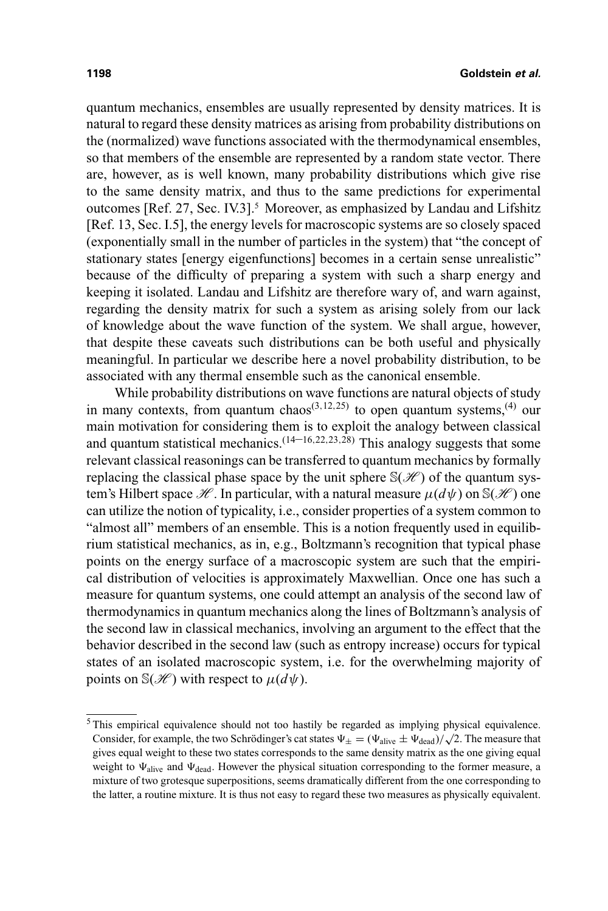quantum mechanics, ensembles are usually represented by density matrices. It is natural to regard these density matrices as arising from probability distributions on the (normalized) wave functions associated with the thermodynamical ensembles, so that members of the ensemble are represented by a random state vector. There are, however, as is well known, many probability distributions which give rise to the same density matrix, and thus to the same predictions for experimental outcomes [Ref. 27, Sec. IV.3].5 Moreover, as emphasized by Landau and Lifshitz [Ref. 13, Sec. I.5], the energy levels for macroscopic systems are so closely spaced (exponentially small in the number of particles in the system) that "the concept of stationary states [energy eigenfunctions] becomes in a certain sense unrealistic" because of the difficulty of preparing a system with such a sharp energy and keeping it isolated. Landau and Lifshitz are therefore wary of, and warn against, regarding the density matrix for such a system as arising solely from our lack of knowledge about the wave function of the system. We shall argue, however, that despite these caveats such distributions can be both useful and physically meaningful. In particular we describe here a novel probability distribution, to be associated with any thermal ensemble such as the canonical ensemble.

While probability distributions on wave functions are natural objects of study in many contexts, from quantum chaos<sup> $(3,12,25)$ </sup> to open quantum systems,<sup> $(4)$ </sup> our main motivation for considering them is to exploit the analogy between classical and quantum statistical mechanics.<sup> $(14–16,22,23,28)$ </sup> This analogy suggests that some relevant classical reasonings can be transferred to quantum mechanics by formally replacing the classical phase space by the unit sphere  $S(\mathcal{H})$  of the quantum system's Hilbert space  $\mathcal{H}$ . In particular, with a natural measure  $\mu(d\psi)$  on  $\mathbb{S}(\mathcal{H})$  one can utilize the notion of typicality, i.e., consider properties of a system common to "almost all" members of an ensemble. This is a notion frequently used in equilibrium statistical mechanics, as in, e.g., Boltzmann's recognition that typical phase points on the energy surface of a macroscopic system are such that the empirical distribution of velocities is approximately Maxwellian. Once one has such a measure for quantum systems, one could attempt an analysis of the second law of thermodynamics in quantum mechanics along the lines of Boltzmann's analysis of the second law in classical mechanics, involving an argument to the effect that the behavior described in the second law (such as entropy increase) occurs for typical states of an isolated macroscopic system, i.e. for the overwhelming majority of points on  $\mathbb{S}(\mathcal{H})$  with respect to  $\mu(d\psi)$ .

<sup>&</sup>lt;sup>5</sup> This empirical equivalence should not too hastily be regarded as implying physical equivalence. This empirical equivalence should not too hasnly be regarded as implying physical equivalence.<br>Consider, for example, the two Schrödinger's cat states  $\Psi_{\pm} = (\Psi_{\text{alive}} \pm \Psi_{\text{dead}})/\sqrt{2}$ . The measure that gives equal weight to these two states corresponds to the same density matrix as the one giving equal weight to  $\Psi_{\text{alive}}$  and  $\Psi_{\text{dead}}$ . However the physical situation corresponding to the former measure, a mixture of two grotesque superpositions, seems dramatically different from the one corresponding to the latter, a routine mixture. It is thus not easy to regard these two measures as physically equivalent.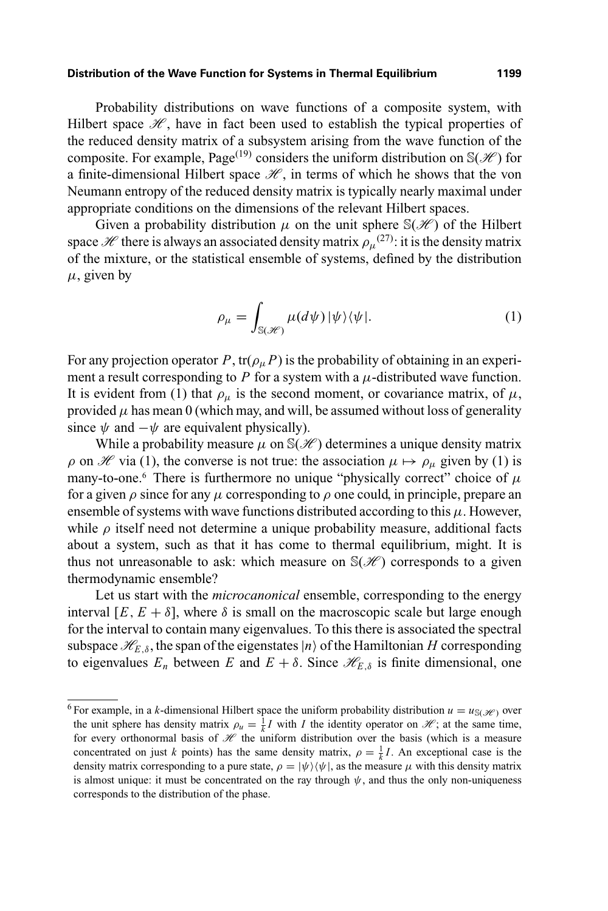#### **Distribution of the Wave Function for Systems in Thermal Equilibrium 1199**

Probability distributions on wave functions of a composite system, with Hilbert space  $\mathcal{H}$ , have in fact been used to establish the typical properties of the reduced density matrix of a subsystem arising from the wave function of the composite. For example, Page<sup>(19)</sup> considers the uniform distribution on  $\mathbb{S}(\mathcal{H})$  for a finite-dimensional Hilbert space  $\mathcal{H}$ , in terms of which he shows that the von Neumann entropy of the reduced density matrix is typically nearly maximal under appropriate conditions on the dimensions of the relevant Hilbert spaces.

Given a probability distribution  $\mu$  on the unit sphere  $\mathbb{S}(\mathscr{H})$  of the Hilbert space  $\mathscr H$  there is always an associated density matrix  $\rho_\mu{}^{(27)}$ : it is the density matrix of the mixture, or the statistical ensemble of systems, defined by the distribution  $\mu$ , given by

$$
\rho_{\mu} = \int_{\mathbb{S}(\mathscr{H})} \mu(d\psi) \, |\psi\rangle\langle\psi|.
$$
 (1)

For any projection operator *P*, tr( $\rho_{\mu}$ *P*) is the probability of obtaining in an experiment a result corresponding to  $P$  for a system with a  $\mu$ -distributed wave function. It is evident from (1) that  $\rho_{\mu}$  is the second moment, or covariance matrix, of  $\mu$ , provided  $\mu$  has mean 0 (which may, and will, be assumed without loss of generality since  $\psi$  and  $-\psi$  are equivalent physically).

While a probability measure  $\mu$  on  $\mathbb{S}(\mathcal{H})$  determines a unique density matrix  $\rho$  on H via (1), the converse is not true: the association  $\mu \mapsto \rho_{\mu}$  given by (1) is many-to-one.<sup>6</sup> There is furthermore no unique "physically correct" choice of  $\mu$ for a given  $\rho$  since for any  $\mu$  corresponding to  $\rho$  one could, in principle, prepare an ensemble of systems with wave functions distributed according to this  $\mu$ . However, while  $\rho$  itself need not determine a unique probability measure, additional facts about a system, such as that it has come to thermal equilibrium, might. It is thus not unreasonable to ask: which measure on  $\mathcal{S}(\mathcal{H})$  corresponds to a given thermodynamic ensemble?

Let us start with the *microcanonical* ensemble, corresponding to the energy interval [ $E, E + \delta$ ], where  $\delta$  is small on the macroscopic scale but large enough for the interval to contain many eigenvalues. To this there is associated the spectral subspace  $\mathcal{H}_{E,\delta}$ , the span of the eigenstates  $|n\rangle$  of the Hamiltonian *H* corresponding to eigenvalues  $E_n$  between *E* and  $E + \delta$ . Since  $\mathcal{H}_{E,\delta}$  is finite dimensional, one

<sup>&</sup>lt;sup>6</sup> For example, in a *k*-dimensional Hilbert space the uniform probability distribution  $u = u_{\mathbb{S}(\mathcal{H})}$  over the unit sphere has density matrix  $\rho_u = \frac{1}{k}I$  with *I* the identity operator on  $\mathcal{H}$ ; at the same time, for every orthonormal basis of  $\mathcal H$  the uniform distribution over the basis (which is a measure concentrated on just *k* points) has the same density matrix,  $\rho = \frac{1}{k}I$ . An exceptional case is the density matrix corresponding to a pure state,  $\rho = |\psi\rangle \langle \psi|$ , as the measure  $\mu$  with this density matrix is almost unique: it must be concentrated on the ray through  $\psi$ , and thus the only non-uniqueness corresponds to the distribution of the phase.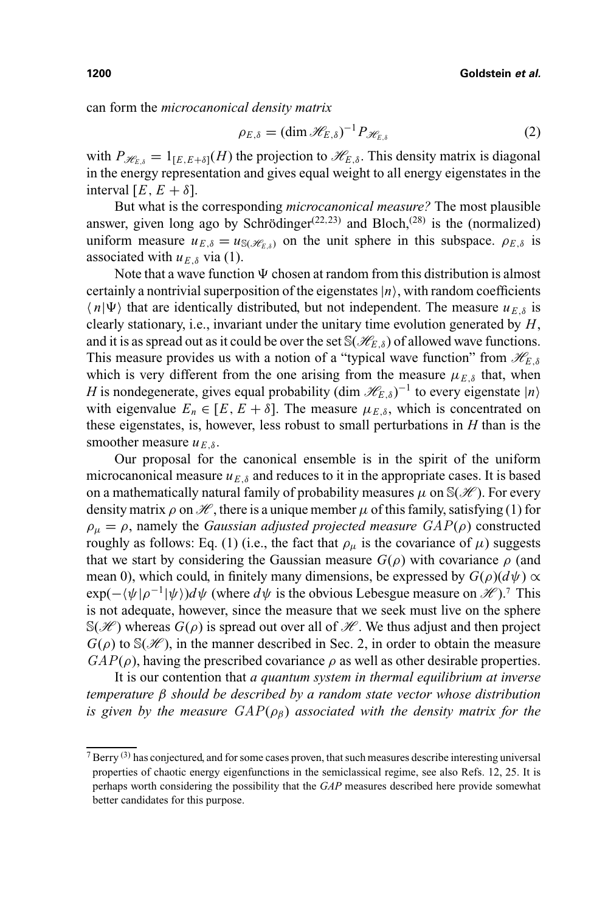can form the *microcanonical density matrix*

$$
\rho_{E,\delta} = (\dim \mathcal{H}_{E,\delta})^{-1} P_{\mathcal{H}_{E,\delta}}
$$
(2)

with  $P_{\mathcal{H}_{E,\delta}} = 1_{[E,E+\delta]}(H)$  the projection to  $\mathcal{H}_{E,\delta}$ . This density matrix is diagonal in the energy representation and gives equal weight to all energy eigenstates in the interval  $[E, E + \delta]$ .

But what is the corresponding *microcanonical measure?* The most plausible answer, given long ago by Schrödinger<sup> $(22,23)$ </sup> and Bloch,<sup> $(28)$ </sup> is the (normalized) uniform measure  $u_{E,\delta} = u_{\mathcal{S}(\mathcal{H}_{E,\delta})}$  on the unit sphere in this subspace.  $\rho_{E,\delta}$  is associated with  $u_{E\delta}$  via (1).

Note that a wave function  $\Psi$  chosen at random from this distribution is almost certainly a nontrivial superposition of the eigenstates  $|n\rangle$ , with random coefficients  $\langle n|\Psi\rangle$  that are identically distributed, but not independent. The measure  $u_{E,\delta}$  is clearly stationary, i.e., invariant under the unitary time evolution generated by *H*, and it is as spread out as it could be over the set  $\mathcal{S}(\mathcal{H}_{F,\delta})$  of allowed wave functions. This measure provides us with a notion of a "typical wave function" from  $\mathcal{H}_{E,\delta}$ which is very different from the one arising from the measure  $\mu_{E,\delta}$  that, when *H* is nondegenerate, gives equal probability (dim  $\mathcal{H}_{E,\delta}$ )<sup>-1</sup> to every eigenstate  $|n\rangle$ with eigenvalue  $E_n \in [E, E + \delta]$ . The measure  $\mu_{E,\delta}$ , which is concentrated on these eigenstates, is, however, less robust to small perturbations in *H* than is the smoother measure  $u_{E,\delta}$ .

Our proposal for the canonical ensemble is in the spirit of the uniform microcanonical measure  $u_{E,\delta}$  and reduces to it in the appropriate cases. It is based on a mathematically natural family of probability measures  $\mu$  on  $\mathcal{S}(\mathcal{H})$ . For every density matrix  $\rho$  on  $\mathcal{H}$ , there is a unique member  $\mu$  of this family, satisfying (1) for  $\rho_{\mu} = \rho$ , namely the *Gaussian adjusted projected measure*  $GAP(\rho)$  constructed roughly as follows: Eq. (1) (i.e., the fact that  $\rho_{\mu}$  is the covariance of  $\mu$ ) suggests that we start by considering the Gaussian measure  $G(\rho)$  with covariance  $\rho$  (and mean 0), which could, in finitely many dimensions, be expressed by  $G(\rho)(d\psi) \propto$  $exp(-\langle \psi | \rho^{-1} | \psi \rangle) d\psi$  (where  $d\psi$  is the obvious Lebesgue measure on  $\mathcal{H}$ ).<sup>7</sup> This is not adequate, however, since the measure that we seek must live on the sphere  $\mathbb{S}(\mathcal{H})$  whereas  $G(\rho)$  is spread out over all of  $\mathcal{H}$ . We thus adjust and then project  $G(\rho)$  to  $\mathbb{S}(\mathscr{H})$ , in the manner described in Sec. 2, in order to obtain the measure  $GAP(\rho)$ , having the prescribed covariance  $\rho$  as well as other desirable properties.

It is our contention that *a quantum system in thermal equilibrium at inverse temperature* β *should be described by a random state vector whose distribution is given by the measure*  $GAP(\rho_{\beta})$  *associated with the density matrix for the* 

 $7$  Berry <sup>(3)</sup> has conjectured, and for some cases proven, that such measures describe interesting universal properties of chaotic energy eigenfunctions in the semiclassical regime, see also Refs. 12, 25. It is perhaps worth considering the possibility that the *GAP* measures described here provide somewhat better candidates for this purpose.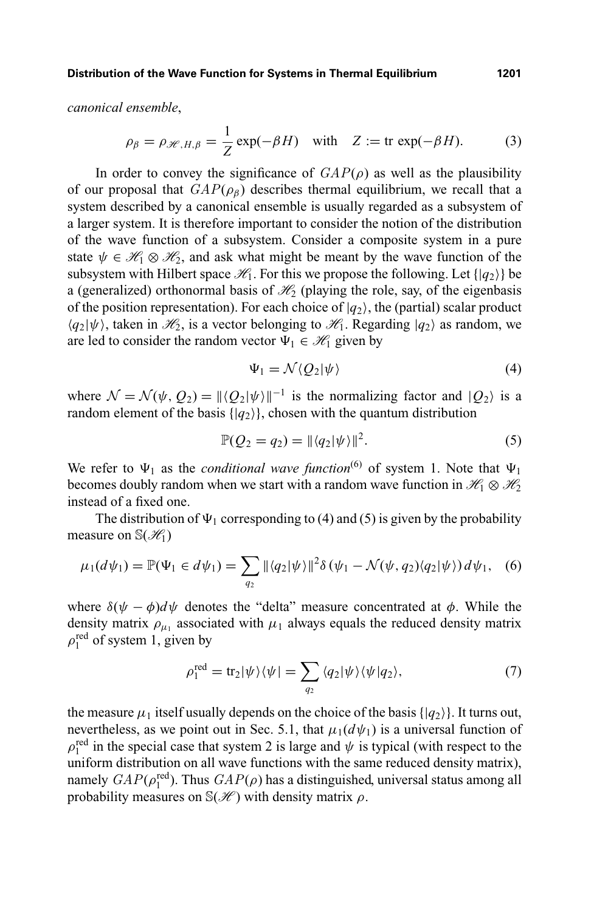**Distribution of the Wave Function for Systems in Thermal Equilibrium 1201**

*canonical ensemble*,

$$
\rho_{\beta} = \rho_{\mathcal{H}, H, \beta} = \frac{1}{Z} \exp(-\beta H) \quad \text{with} \quad Z := \text{tr} \exp(-\beta H). \tag{3}
$$

In order to convey the significance of  $GAP(\rho)$  as well as the plausibility of our proposal that  $GAP(\rho_{\beta})$  describes thermal equilibrium, we recall that a system described by a canonical ensemble is usually regarded as a subsystem of a larger system. It is therefore important to consider the notion of the distribution of the wave function of a subsystem. Consider a composite system in a pure state  $\psi \in \mathcal{H}_1 \otimes \mathcal{H}_2$ , and ask what might be meant by the wave function of the subsystem with Hilbert space  $\mathcal{H}_1$ . For this we propose the following. Let  $\{ |q_2\rangle \}$  be a (generalized) orthonormal basis of  $\mathcal{H}_2$  (playing the role, say, of the eigenbasis of the position representation). For each choice of  $|q_2\rangle$ , the (partial) scalar product  $\langle q_2|\psi\rangle$ , taken in  $\mathcal{H}_2$ , is a vector belonging to  $\mathcal{H}_1$ . Regarding  $|q_2\rangle$  as random, we are led to consider the random vector  $\Psi_1 \in \mathcal{H}_1$  given by

$$
\Psi_1 = \mathcal{N} \langle Q_2 | \psi \rangle \tag{4}
$$

where  $\mathcal{N} = \mathcal{N}(\psi, Q_2) = ||\langle Q_2 | \psi \rangle||^{-1}$  is the normalizing factor and  $|Q_2\rangle$  is a random element of the basis  $\{|q_2\rangle\}$ , chosen with the quantum distribution

$$
\mathbb{P}(Q_2 = q_2) = ||\langle q_2 | \psi \rangle||^2.
$$
 (5)

We refer to  $\Psi_1$  as the *conditional wave function*<sup>(6)</sup> of system 1. Note that  $\Psi_1$ becomes doubly random when we start with a random wave function in  $\mathcal{H}_1 \otimes \mathcal{H}_2$ instead of a fixed one.

The distribution of  $\Psi_1$  corresponding to (4) and (5) is given by the probability measure on  $\mathbb{S}(\mathcal{H}_1)$ 

$$
\mu_1(d\psi_1) = \mathbb{P}(\Psi_1 \in d\psi_1) = \sum_{q_2} ||\langle q_2 | \psi \rangle||^2 \delta(\psi_1 - \mathcal{N}(\psi, q_2) \langle q_2 | \psi \rangle) d\psi_1, \quad (6)
$$

where  $\delta(\psi - \phi)d\psi$  denotes the "delta" measure concentrated at  $\phi$ . While the density matrix  $\rho_{\mu_1}$  associated with  $\mu_1$  always equals the reduced density matrix  $\rho_1^{\text{red}}$  of system 1, given by

$$
\rho_1^{\text{red}} = \text{tr}_2|\psi\rangle\langle\psi| = \sum_{q_2} \langle q_2|\psi\rangle\langle\psi|q_2\rangle,\tag{7}
$$

the measure  $\mu_1$  itself usually depends on the choice of the basis  $\{|q_2\rangle\}$ . It turns out, nevertheless, as we point out in Sec. 5.1, that  $\mu_1(d\psi_1)$  is a universal function of  $\rho_1^{\text{red}}$  in the special case that system 2 is large and  $\psi$  is typical (with respect to the uniform distribution on all wave functions with the same reduced density matrix), namely  $GAP(\rho_1^{\text{red}})$ . Thus  $GAP(\rho)$  has a distinguished, universal status among all probability measures on  $\mathbb{S}(\mathcal{H})$  with density matrix  $\rho$ .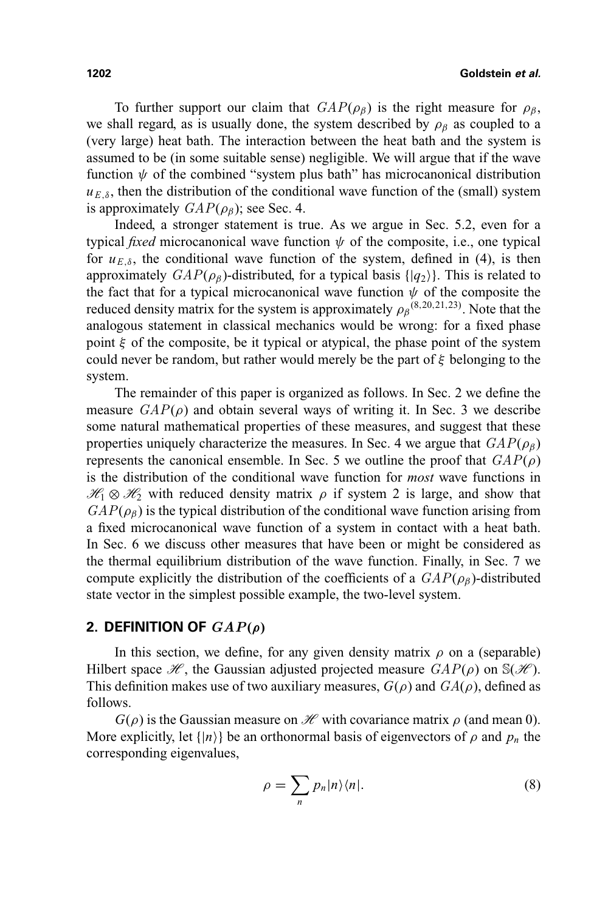To further support our claim that  $GAP(\rho_{\beta})$  is the right measure for  $\rho_{\beta}$ , we shall regard, as is usually done, the system described by  $\rho_\beta$  as coupled to a (very large) heat bath. The interaction between the heat bath and the system is assumed to be (in some suitable sense) negligible. We will argue that if the wave function  $\psi$  of the combined "system plus bath" has microcanonical distribution  $u_{E,\delta}$ , then the distribution of the conditional wave function of the (small) system is approximately  $GAP(\rho_{\beta})$ ; see Sec. 4.

Indeed, a stronger statement is true. As we argue in Sec. 5.2, even for a typical *fixed* microcanonical wave function  $\psi$  of the composite, i.e., one typical for  $u_{E,\delta}$ , the conditional wave function of the system, defined in (4), is then approximately  $GAP(\rho_{\beta})$ -distributed, for a typical basis { $|q_2\rangle$ }. This is related to the fact that for a typical microcanonical wave function  $\psi$  of the composite the reduced density matrix for the system is approximately  $\rho_{\beta}^{(8,20,21,23)}$ . Note that the analogous statement in classical mechanics would be wrong: for a fixed phase point  $\xi$  of the composite, be it typical or atypical, the phase point of the system could never be random, but rather would merely be the part of  $\xi$  belonging to the system.

The remainder of this paper is organized as follows. In Sec. 2 we define the measure  $GAP(\rho)$  and obtain several ways of writing it. In Sec. 3 we describe some natural mathematical properties of these measures, and suggest that these properties uniquely characterize the measures. In Sec. 4 we argue that  $GAP(\rho_8)$ represents the canonical ensemble. In Sec. 5 we outline the proof that  $GAP(\rho)$ is the distribution of the conditional wave function for *most* wave functions in  $\mathcal{H}_1 \otimes \mathcal{H}_2$  with reduced density matrix  $\rho$  if system 2 is large, and show that  $GAP(\rho_{\beta})$  is the typical distribution of the conditional wave function arising from a fixed microcanonical wave function of a system in contact with a heat bath. In Sec. 6 we discuss other measures that have been or might be considered as the thermal equilibrium distribution of the wave function. Finally, in Sec. 7 we compute explicitly the distribution of the coefficients of a  $GAP(\rho_B)$ -distributed state vector in the simplest possible example, the two-level system.

### **2. DEFINITION OF**  $GAP(\rho)$

In this section, we define, for any given density matrix  $\rho$  on a (separable) Hilbert space  $\mathcal{H}$ , the Gaussian adjusted projected measure  $GAP(\rho)$  on  $\mathcal{S}(\mathcal{H})$ . This definition makes use of two auxiliary measures,  $G(\rho)$  and  $GA(\rho)$ , defined as follows.

 $G(\rho)$  is the Gaussian measure on *H* with covariance matrix  $\rho$  (and mean 0). More explicitly, let  $\{|n\rangle\}$  be an orthonormal basis of eigenvectors of  $\rho$  and  $p_n$  the corresponding eigenvalues,

$$
\rho = \sum_{n} p_n |n\rangle\langle n|.\tag{8}
$$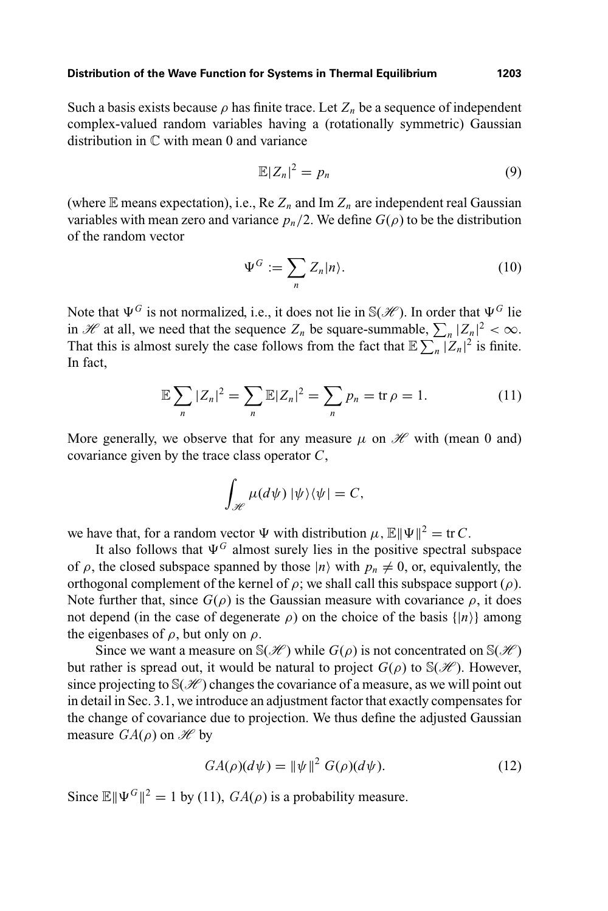Such a basis exists because  $\rho$  has finite trace. Let  $Z_n$  be a sequence of independent complex-valued random variables having a (rotationally symmetric) Gaussian distribution in C with mean 0 and variance

$$
\mathbb{E}|Z_n|^2 = p_n \tag{9}
$$

(where  $E$  means expectation), i.e., Re  $Z_n$  and Im  $Z_n$  are independent real Gaussian variables with mean zero and variance  $p_n/2$ . We define  $G(\rho)$  to be the distribution of the random vector

$$
\Psi^G := \sum_n Z_n |n\rangle. \tag{10}
$$

Note that  $\Psi^G$  is not normalized, i.e., it does not lie in  $\mathcal{S}(\mathcal{H})$ . In order that  $\Psi^G$  lie in H at all, we need that the sequence  $Z_n$  be square-summable,  $\sum_n |Z_n|^2 < \infty$ . That this is almost surely the case follows from the fact that  $\mathbb{E} \sum_{n} |Z_n|^2$  is finite. In fact,

$$
\mathbb{E}\sum_{n}|Z_{n}|^{2}=\sum_{n}\mathbb{E}|Z_{n}|^{2}=\sum_{n}p_{n}=\text{tr }\rho=1.
$$
 (11)

More generally, we observe that for any measure  $\mu$  on  $\mathcal{H}$  with (mean 0 and) covariance given by the trace class operator *C*,

$$
\int_{\mathscr{H}} \mu(d\psi) \, |\psi\rangle\langle\psi| = C,
$$

we have that, for a random vector  $\Psi$  with distribution  $\mu$ ,  $\mathbb{E} \|\Psi\|^2 = \text{tr } C$ .

It also follows that  $\Psi$ <sup>G</sup> almost surely lies in the positive spectral subspace of  $\rho$ , the closed subspace spanned by those  $|n\rangle$  with  $p_n \neq 0$ , or, equivalently, the orthogonal complement of the kernel of  $\rho$ ; we shall call this subspace support ( $\rho$ ). Note further that, since  $G(\rho)$  is the Gaussian measure with covariance  $\rho$ , it does not depend (in the case of degenerate  $\rho$ ) on the choice of the basis  $\{|n\rangle\}$  among the eigenbases of  $\rho$ , but only on  $\rho$ .

Since we want a measure on  $\mathbb{S}(\mathcal{H})$  while  $G(\rho)$  is not concentrated on  $\mathbb{S}(\mathcal{H})$ but rather is spread out, it would be natural to project  $G(\rho)$  to  $\mathcal{S}(\mathcal{H})$ . However, since projecting to  $\mathcal{S}(\mathcal{H})$  changes the covariance of a measure, as we will point out in detail in Sec. 3.1, we introduce an adjustment factor that exactly compensates for the change of covariance due to projection. We thus define the adjusted Gaussian measure  $GA(\rho)$  on  $\mathscr{H}$  by

$$
GA(\rho)(d\psi) = \|\psi\|^2 G(\rho)(d\psi). \tag{12}
$$

Since  $\mathbb{E} \|\Psi^G\|^2 = 1$  by (11),  $GA(\rho)$  is a probability measure.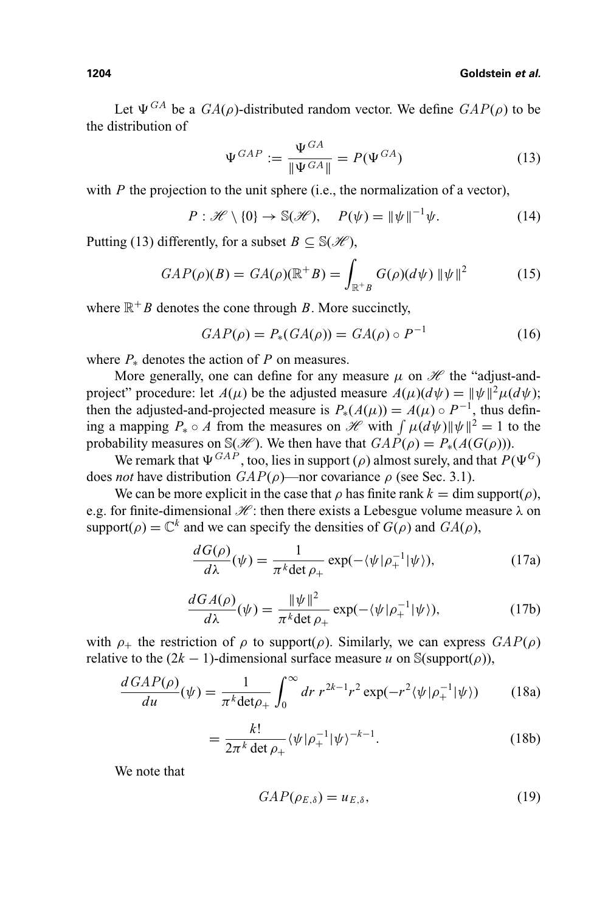Let  $\Psi^{GA}$  be a  $GA(\rho)$ -distributed random vector. We define  $GAP(\rho)$  to be the distribution of

$$
\Psi^{GAP} := \frac{\Psi^{GA}}{\|\Psi^{GA}\|} = P(\Psi^{GA})
$$
\n(13)

with *P* the projection to the unit sphere (i.e., the normalization of a vector),

$$
P: \mathscr{H} \setminus \{0\} \to \mathbb{S}(\mathscr{H}), \quad P(\psi) = \|\psi\|^{-1}\psi. \tag{14}
$$

Putting (13) differently, for a subset  $B \subseteq \mathcal{S}(\mathcal{H})$ ,

$$
GAP(\rho)(B) = GA(\rho)(\mathbb{R}^+B) = \int_{\mathbb{R}^+B} G(\rho)(d\psi) \|\psi\|^2 \tag{15}
$$

where  $\mathbb{R}^+$  *B* denotes the cone through *B*. More succinctly,

 $GAP(\rho) = P_*(GA(\rho)) = GA(\rho) \circ P^{-1}$  (16)

where  $P_*$  denotes the action of  $P$  on measures.

More generally, one can define for any measure  $\mu$  on  $\mathcal H$  the "adjust-andproject" procedure: let  $A(\mu)$  be the adjusted measure  $A(\mu)(d\psi) = ||\psi||^2 \mu(d\psi)$ ; then the adjusted-and-projected measure is  $P_*(A(\mu)) = A(\mu) \circ P^{-1}$ , thus defining a mapping  $P_* \circ A$  from the measures on  $\mathcal{H}$  with  $\int \mu(d\psi) ||\psi||^2 = 1$  to the probability measures on  $\mathcal{S}(\mathcal{H})$ . We then have that  $GAP(\rho) = P_*(A(G(\rho)))$ .

We remark that  $\Psi^{GAP}$ , too, lies in support (ρ) almost surely, and that  $P(\Psi^G)$ does *not* have distribution  $GAP(\rho)$ —nor covariance  $\rho$  (see Sec. 3.1).

We can be more explicit in the case that  $\rho$  has finite rank  $k = \dim \text{support}(\rho)$ , e.g. for finite-dimensional  $\mathcal{H}$ : then there exists a Lebesgue volume measure  $\lambda$  on support( $\rho$ ) =  $\mathbb{C}^k$  and we can specify the densities of  $G(\rho)$  and  $GA(\rho)$ ,

$$
\frac{dG(\rho)}{d\lambda}(\psi) = \frac{1}{\pi^k \det \rho_+} \exp(-\langle \psi | \rho_+^{-1} | \psi \rangle),\tag{17a}
$$

$$
\frac{dGA(\rho)}{d\lambda}(\psi) = \frac{\|\psi\|^2}{\pi^k \det \rho_+} \exp(-\langle \psi | \rho_+^{-1} | \psi \rangle),\tag{17b}
$$

with  $\rho_+$  the restriction of  $\rho$  to support( $\rho$ ). Similarly, we can express  $GAP(\rho)$ relative to the  $(2k - 1)$ -dimensional surface measure *u* on S(support(*ρ*)),

$$
\frac{dGAP(\rho)}{du}(\psi) = \frac{1}{\pi^k \det \rho_+} \int_0^\infty dr \ r^{2k-1} r^2 \exp(-r^2 \langle \psi | \rho_+^{-1} | \psi \rangle) \tag{18a}
$$

$$
= \frac{k!}{2\pi^k \det \rho_+} \langle \psi | \rho_+^{-1} | \psi \rangle^{-k-1}.
$$
 (18b)

We note that

$$
GAP(\rho_{E,\delta}) = u_{E,\delta},\tag{19}
$$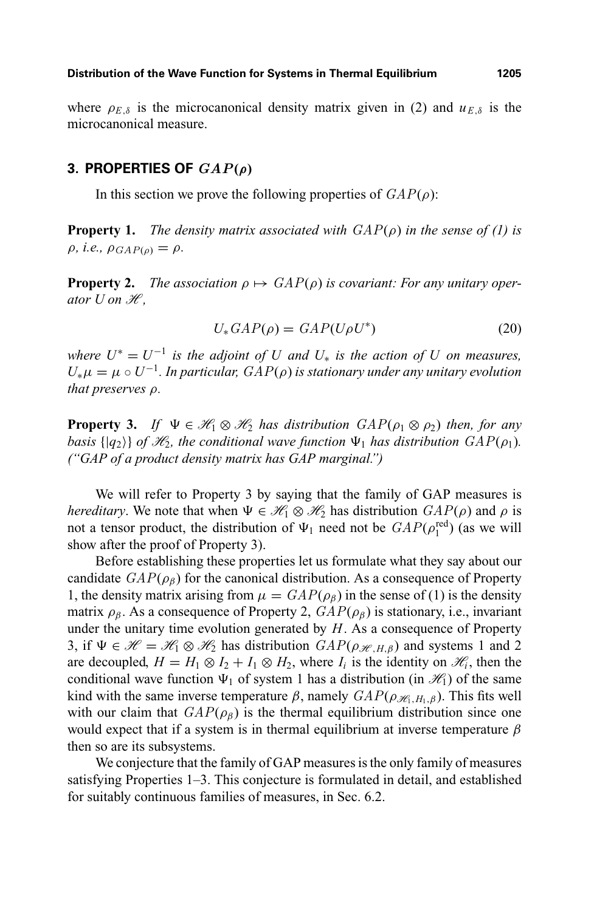where  $\rho_{E,\delta}$  is the microcanonical density matrix given in (2) and  $u_{E,\delta}$  is the microcanonical measure.

#### **3. PROPERTIES OF** *GAP***(***ρ***)**

In this section we prove the following properties of  $GAP(\rho)$ :

**Property 1.** *The density matrix associated with*  $GAP(\rho)$  *in the sense of (1) is*  $\rho$ *, i.e.,*  $\rho_{GAP(\rho)} = \rho$ *.* 

**Property 2.** *The association*  $\rho \mapsto \text{GAP}(\rho)$  *is covariant: For any unitary operator*  $U$  *on*  $H$ *,* 

$$
U_* \, GAP(\rho) = \, GAP(U\rho U^*) \tag{20}
$$

*where*  $U^* = U^{-1}$  *is the adjoint of*  $U$  *and*  $U_*$  *is the action of*  $U$  *on measures,*  $U_*\mu = \mu \circ U^{-1}$ . In particular,  $GAP(\rho)$  is stationary under any unitary evolution *that preserves* ρ*.*

**Property 3.** *If*  $\Psi \in \mathcal{H}_1 \otimes \mathcal{H}_2$  *has distribution*  $GAP(\rho_1 \otimes \rho_2)$  *then, for any basis*  $\{ |q_2\rangle \}$  *of*  $\mathcal{H}_2$ *, the conditional wave function*  $\Psi_1$  *has distribution*  $GAP(\rho_1)$ *. ("GAP of a product density matrix has GAP marginal.")*

We will refer to Property 3 by saying that the family of GAP measures is *hereditary*. We note that when  $\Psi \in \mathcal{H}_1 \otimes \mathcal{H}_2$  has distribution  $GAP(\rho)$  and  $\rho$  is not a tensor product, the distribution of  $\Psi_1$  need not be  $GAP(\rho_1^{\text{red}})$  (as we will show after the proof of Property 3).

Before establishing these properties let us formulate what they say about our candidate  $GAP(\rho_{\beta})$  for the canonical distribution. As a consequence of Property 1, the density matrix arising from  $\mu = \frac{GAP(\rho_{\beta})}{P(\rho_{\beta})}$  in the sense of (1) is the density matrix  $\rho_{\beta}$ . As a consequence of Property 2,  $GAP(\rho_{\beta})$  is stationary, i.e., invariant under the unitary time evolution generated by *H*. As a consequence of Property 3, if  $\Psi \in \mathcal{H} = \mathcal{H}_1 \otimes \mathcal{H}_2$  has distribution  $GAP(\rho_{\mathcal{H},H,\beta})$  and systems 1 and 2 are decoupled,  $H = H_1 \otimes I_2 + I_1 \otimes H_2$ , where  $I_i$  is the identity on  $\mathcal{H}_i$ , then the conditional wave function  $\Psi_1$  of system 1 has a distribution (in  $\mathcal{H}_1$ ) of the same kind with the same inverse temperature β, namely  $GAP(\rho_{\mathcal{H},H_1,\beta})$ . This fits well with our claim that  $GAP(\rho_{\beta})$  is the thermal equilibrium distribution since one would expect that if a system is in thermal equilibrium at inverse temperature  $\beta$ then so are its subsystems.

We conjecture that the family of GAP measures is the only family of measures satisfying Properties 1–3. This conjecture is formulated in detail, and established for suitably continuous families of measures, in Sec. 6.2.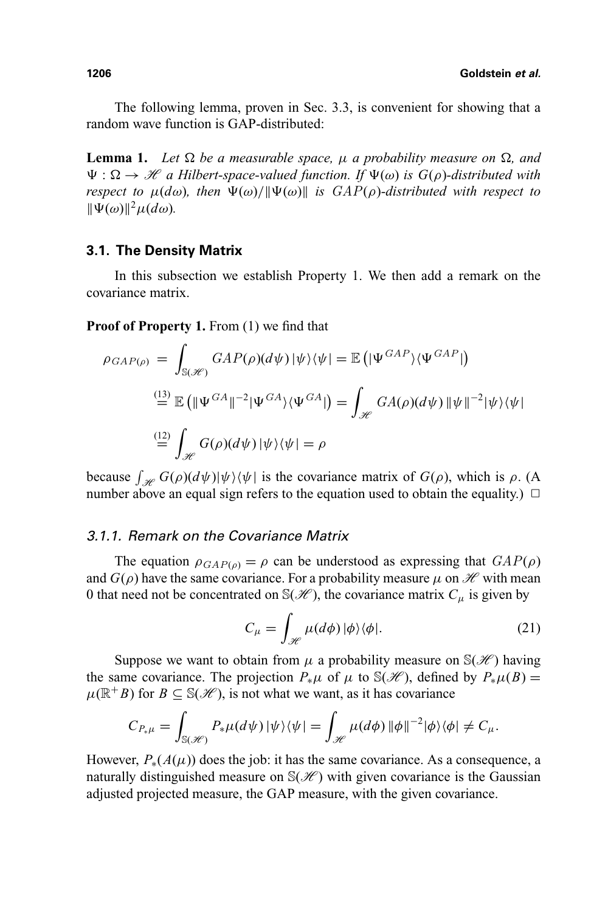The following lemma, proven in Sec. 3.3, is convenient for showing that a random wave function is GAP-distributed:

**Lemma 1.** Let  $\Omega$  be a measurable space,  $\mu$  a probability measure on  $\Omega$ , and  $\Psi : \Omega \to \mathcal{H}$  a Hilbert-space-valued function. If  $\Psi(\omega)$  is  $G(\rho)$ -distributed with *respect to*  $\mu(d\omega)$ , then  $\Psi(\omega)/\|\Psi(\omega)\|$  is  $GAP(\rho)$ -distributed with respect to  $\|\Psi(\omega)\|^2 \mu(d\omega)$ .

#### **3.1. The Density Matrix**

In this subsection we establish Property 1. We then add a remark on the covariance matrix.

**Proof of Property 1.** From (1) we find that

$$
\rho_{GAP(\rho)} = \int_{\mathbb{S}(\mathscr{H})} GAP(\rho)(d\psi)|\psi\rangle\langle\psi| = \mathbb{E}(|\Psi^{GAP}\rangle\langle\Psi^{GAP}|)
$$
  

$$
\stackrel{\text{(13)}}{=} \mathbb{E}(|\Psi^{GA}|^{-2}|\Psi^{GA}\rangle\langle\Psi^{GA}|) = \int_{\mathscr{H}} GA(\rho)(d\psi) \|\psi\|^{-2}|\psi\rangle\langle\psi|
$$
  

$$
\stackrel{\text{(12)}}{=} \int_{\mathscr{H}} G(\rho)(d\psi)|\psi\rangle\langle\psi| = \rho
$$

because  $\int_{\mathcal{H}} G(\rho)(d\psi)|\psi\rangle\langle\psi|$  is the covariance matrix of  $G(\rho)$ , which is  $\rho$ . (A number above an equal sign refers to the equation used to obtain the equality.)  $\Box$ 

## 3.1.1. Remark on the Covariance Matrix

The equation  $\rho_{GAP(\rho)} = \rho$  can be understood as expressing that  $GAP(\rho)$ and  $G(\rho)$  have the same covariance. For a probability measure  $\mu$  on  $\mathcal{H}$  with mean 0 that need not be concentrated on  $\mathcal{S}(\mathcal{H})$ , the covariance matrix  $C_u$  is given by

$$
C_{\mu} = \int_{\mathcal{H}} \mu(d\phi) \, |\phi\rangle\langle\phi|.
$$
 (21)

Suppose we want to obtain from  $\mu$  a probability measure on  $\mathcal{S}(\mathcal{H})$  having the same covariance. The projection  $P_*\mu$  of  $\mu$  to S( $\mathcal{H}$ ), defined by  $P_*\mu(B) =$  $\mu(\mathbb{R}^+B)$  for  $B \subseteq \mathbb{S}(\mathcal{H})$ , is not what we want, as it has covariance

$$
C_{P_{*}\mu} = \int_{\mathbb{S}(\mathscr{H})} P_{*}\mu(d\psi) \, |\psi\rangle\langle\psi| = \int_{\mathscr{H}} \mu(d\phi) \, |\phi||^{-2}|\phi\rangle\langle\phi| \neq C_{\mu}.
$$

However,  $P_*(A(\mu))$  does the job: it has the same covariance. As a consequence, a naturally distinguished measure on  $\mathcal{S}(\mathcal{H})$  with given covariance is the Gaussian adjusted projected measure, the GAP measure, with the given covariance.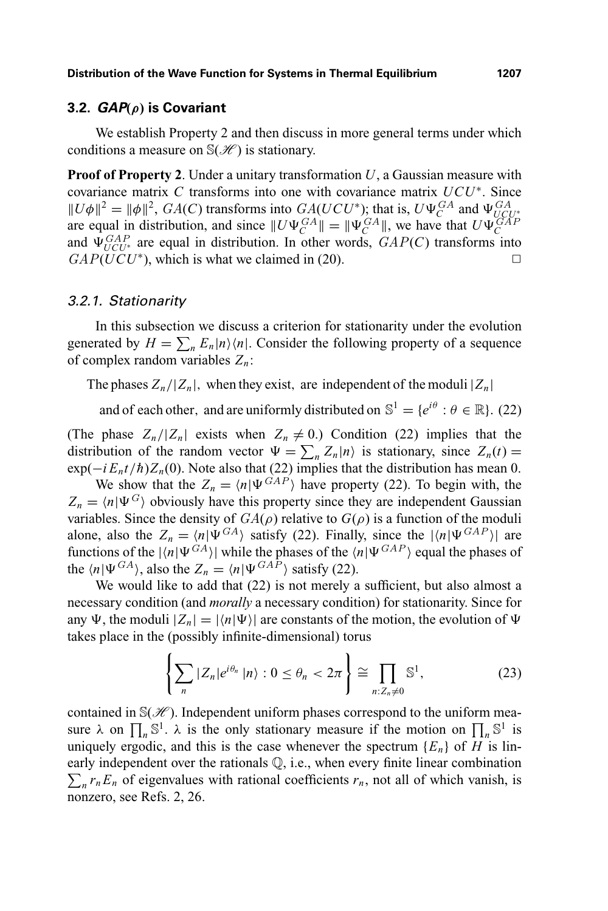#### **3.2. GAP(***ρ***) is Covariant**

We establish Property 2 and then discuss in more general terms under which conditions a measure on  $\mathbb{S}(\mathcal{H})$  is stationary.

**Proof of Property 2**. Under a unitary transformation *U*, a Gaussian measure with covariance matrix *C* transforms into one with covariance matrix *UCU*<sup>∗</sup>. Since  $\|U\phi\|^2 = \|\phi\|^2$ , *GA(C)* transforms into *GA(UCU<sup>\*</sup>)*; that is,  $U\Psi_C^{GA}$  and  $\Psi_{UC}^{GA}$  $||U\varphi|| = ||\varphi||$ ,  $G_A(U, U)$  transforms into  $G_A(U, U)$ ; that is,  $U\Psi_C^*$  and  $\Psi_{UCU^*}$  are equal in distribution, and since  $||U\Psi_C^{GAP}|| = ||\Psi_C^{GAP}||$ , we have that  $U\Psi_C^{GAP}$ and  $\Psi_{UCU*}^{GAP}$  are equal in distribution. In other words,  $GAP(C)$  transforms into  $GAP(UCU^*)$ , which is what we claimed in (20).

#### 3.2.1. Stationarity

In this subsection we discuss a criterion for stationarity under the evolution generated by  $H = \sum_{n} E_n |n\rangle\langle n|$ . Consider the following property of a sequence of complex random variables *Zn*:

The phases  $Z_n/|Z_n|$ , when they exist, are independent of the moduli  $|Z_n|$ 

and of each other, and are uniformly distributed on  $\mathbb{S}^1 = \{e^{i\theta} : \theta \in \mathbb{R}\}\$ . (22)

(The phase  $Z_n/|Z_n|$  exists when  $Z_n \neq 0$ .) Condition (22) implies that the distribution of the random vector  $\Psi = \sum_n Z_n |n\rangle$  is stationary, since  $Z_n(t) =$  $\exp(-i E_n t/\hbar) Z_n(0)$ . Note also that (22) implies that the distribution has mean 0.

We show that the  $Z_n = \langle n | \Psi^{GAP} \rangle$  have property (22). To begin with, the  $Z_n = \langle n | \Psi^G \rangle$  obviously have this property since they are independent Gaussian variables. Since the density of  $GA(\rho)$  relative to  $G(\rho)$  is a function of the moduli alone, also the  $Z_n = \langle n | \Psi^{GA} \rangle$  satisfy (22). Finally, since the  $|\langle n | \Psi^{GAP} \rangle|$  are functions of the  $|\langle n|\Psi^{GA}\rangle|$  while the phases of the  $\langle n|\Psi^{GAP}\rangle$  equal the phases of the  $\langle n|\Psi^{GA}\rangle$ , also the  $Z_n = \langle n|\Psi^{GAP}\rangle$  satisfy (22).

We would like to add that (22) is not merely a sufficient, but also almost a necessary condition (and *morally* a necessary condition) for stationarity. Since for any  $\Psi$ , the moduli  $|Z_n| = |\langle n | \Psi \rangle|$  are constants of the motion, the evolution of  $\Psi$ takes place in the (possibly infinite-dimensional) torus

$$
\left\{\sum_{n}|Z_{n}|e^{i\theta_{n}}\left|n\right\rangle:0\leq\theta_{n}<2\pi\right\}\cong\prod_{n:Z_{n}\neq0}\mathbb{S}^{1},\tag{23}
$$

contained in  $\mathcal{S}(\mathcal{H})$ . Independent uniform phases correspond to the uniform measure  $\lambda$  on  $\prod_n \mathbb{S}^1$ .  $\lambda$  is the only stationary measure if the motion on  $\prod_n \mathbb{S}^1$  is uniquely ergodic, and this is the case whenever the spectrum  ${E_n}$  of *H* is linearly independent over the rationals Q, i.e., when every finite linear combination  $\sum_{n} r_n E_n$  of eigenvalues with rational coefficients  $r_n$ , not all of which vanish, is nonzero, see Refs. 2, 26.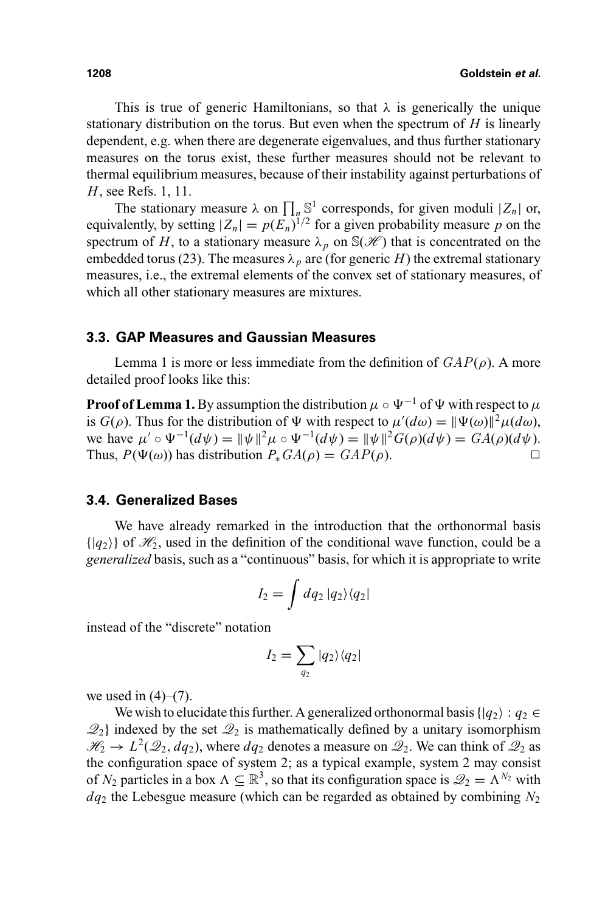This is true of generic Hamiltonians, so that  $\lambda$  is generically the unique stationary distribution on the torus. But even when the spectrum of *H* is linearly dependent, e.g. when there are degenerate eigenvalues, and thus further stationary measures on the torus exist, these further measures should not be relevant to thermal equilibrium measures, because of their instability against perturbations of *H*, see Refs. 1, 11.

The stationary measure  $\lambda$  on  $\prod_n \mathbb{S}^1$  corresponds, for given moduli  $|Z_n|$  or, equivalently, by setting  $|Z_n| = p(E_n)^{1/2}$  for a given probability measure p on the spectrum of *H*, to a stationary measure  $\lambda_p$  on  $\mathbb{S}(\mathcal{H})$  that is concentrated on the embedded torus (23). The measures  $\lambda_p$  are (for generic *H*) the extremal stationary measures, i.e., the extremal elements of the convex set of stationary measures, of which all other stationary measures are mixtures.

#### **3.3. GAP Measures and Gaussian Measures**

Lemma 1 is more or less immediate from the definition of  $GAP(\rho)$ . A more detailed proof looks like this:

**Proof of Lemma 1.** By assumption the distribution  $\mu \circ \Psi^{-1}$  of  $\Psi$  with respect to  $\mu$ is *G*( $\rho$ ). Thus for the distribution of  $\Psi$  with respect to  $\mu'(d\omega) = \|\Psi(\omega)\|^2 \mu(d\omega)$ , we have  $\mu' \circ \Psi^{-1}(d\psi) = ||\psi||^2 \mu \circ \Psi^{-1}(d\psi) = ||\psi||^2 G(\rho)(d\psi) = GA(\rho)(d\psi)$ . Thus,  $P(\Psi(\omega))$  has distribution  $P_* GA(\rho) = GAP(\rho)$ .

#### **3.4. Generalized Bases**

We have already remarked in the introduction that the orthonormal basis  $\{ |q_2\rangle \}$  of  $\mathcal{H}_2$ , used in the definition of the conditional wave function, could be a *generalized* basis, such as a "continuous" basis, for which it is appropriate to write

$$
I_2 = \int dq_2 \, |q_2\rangle\langle q_2|
$$

instead of the "discrete" notation

$$
I_2 = \sum_{q_2} |q_2\rangle\langle q_2|
$$

we used in  $(4)$ – $(7)$ .

We wish to elucidate this further. A generalized orthonormal basis { $|q_2\rangle$  :  $q_2 \in$  $\mathcal{Q}_2$  indexed by the set  $\mathcal{Q}_2$  is mathematically defined by a unitary isomorphism  $\mathcal{H}_2 \rightarrow L^2(\mathcal{Q}_2, dq_2)$ , where  $dq_2$  denotes a measure on  $\mathcal{Q}_2$ . We can think of  $\mathcal{Q}_2$  as the configuration space of system 2; as a typical example, system 2 may consist of  $N_2$  particles in a box  $\Lambda \subseteq \mathbb{R}^3$ , so that its configuration space is  $\mathcal{Q}_2 = \Lambda^{N_2}$  with *dq*<sup>2</sup> the Lebesgue measure (which can be regarded as obtained by combining *N*<sup>2</sup>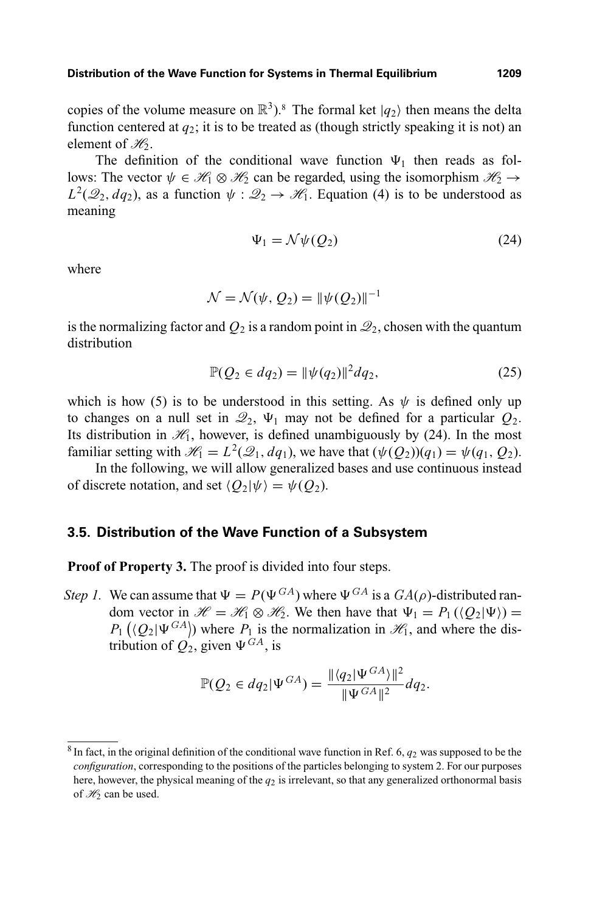copies of the volume measure on  $\mathbb{R}^3$ <sup>3</sup>. The formal ket  $|q_2\rangle$  then means the delta function centered at  $q_2$ ; it is to be treated as (though strictly speaking it is not) an element of  $\mathcal{H}_2$ .

The definition of the conditional wave function  $\Psi_1$  then reads as follows: The vector  $\psi \in \mathcal{H}_1 \otimes \mathcal{H}_2$  can be regarded, using the isomorphism  $\mathcal{H}_2 \rightarrow$  $L^2(\mathcal{Q}_2, dq_2)$ , as a function  $\psi : \mathcal{Q}_2 \to \mathcal{H}_1$ . Equation (4) is to be understood as meaning

$$
\Psi_1 = \mathcal{N}\psi(Q_2) \tag{24}
$$

where

$$
\mathcal{N} = \mathcal{N}(\psi, Q_2) = ||\psi(Q_2)||^{-1}
$$

is the normalizing factor and  $Q_2$  is a random point in  $\mathcal{Q}_2$ , chosen with the quantum distribution

$$
\mathbb{P}(Q_2 \in dq_2) = \|\psi(q_2)\|^2 dq_2,\tag{25}
$$

which is how (5) is to be understood in this setting. As  $\psi$  is defined only up to changes on a null set in  $\mathcal{Q}_2$ ,  $\Psi_1$  may not be defined for a particular  $Q_2$ . Its distribution in  $\mathcal{H}_1$ , however, is defined unambiguously by (24). In the most familiar setting with  $\mathcal{H}_1 = L^2(\mathcal{Q}_1, dq_1)$ , we have that  $(\psi(Q_2))(q_1) = \psi(q_1, Q_2)$ .

In the following, we will allow generalized bases and use continuous instead of discrete notation, and set  $\langle Q_2|\psi\rangle = \psi(Q_2)$ .

#### **3.5. Distribution of the Wave Function of a Subsystem**

**Proof of Property 3.** The proof is divided into four steps.

*Step 1.* We can assume that  $\Psi = P(\Psi^{GA})$  where  $\Psi^{GA}$  is a  $GA(\rho)$ -distributed random vector in  $\mathcal{H} = \mathcal{H}_1 \otimes \mathcal{H}_2$ . We then have that  $\Psi_1 = P_1(\langle Q_2 | \Psi \rangle) =$  $P_1(\langle Q_2 | \Psi^{GA} \rangle)$  where  $P_1$  is the normalization in  $\mathcal{H}_1$ , and where the distribution of  $Q_2$ , given  $\Psi^{GA}$ , is

$$
\mathbb{P}(Q_2 \in dq_2 |\Psi^{GA}) = \frac{\| \langle q_2 | \Psi^{GA} \rangle \|^2}{\| \Psi^{GA} \|^2} dq_2.
$$

 $8$  In fact, in the original definition of the conditional wave function in Ref. 6,  $q_2$  was supposed to be the *configuration*, corresponding to the positions of the particles belonging to system 2. For our purposes here, however, the physical meaning of the *q*<sup>2</sup> is irrelevant, so that any generalized orthonormal basis of  $H_2$  can be used.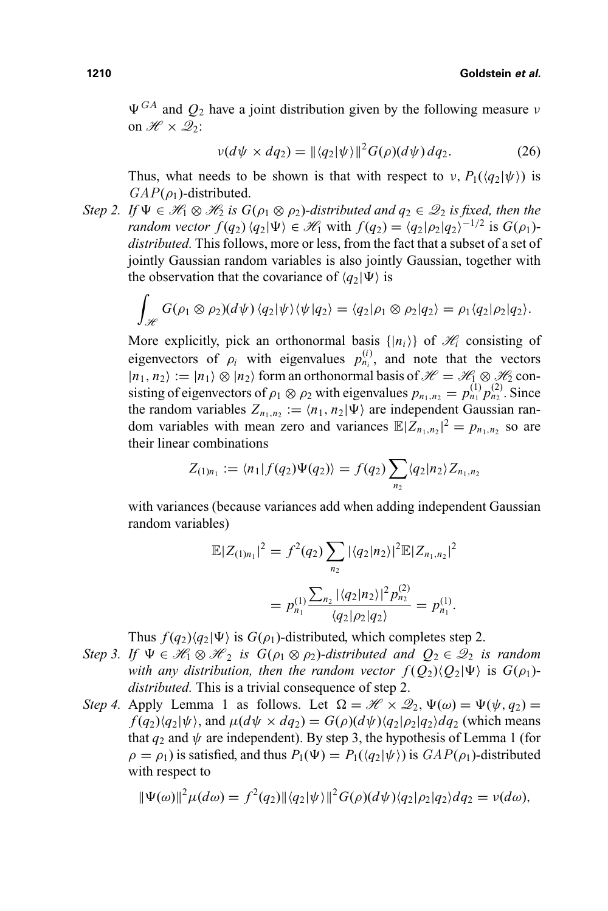$\Psi^{GA}$  and  $Q_2$  have a joint distribution given by the following measure  $\nu$ on  $\mathscr{H} \times \mathscr{Q}_2$ :

$$
\nu(d\psi \times dq_2) = \|\langle q_2|\psi\rangle\|^2 G(\rho)(d\psi) dq_2.
$$
 (26)

Thus, what needs to be shown is that with respect to  $\nu$ ,  $P_1(\langle q_2 | \psi \rangle)$  is  $GAP(\rho_1)$ -distributed.

*Step 2.* If  $\Psi \in \mathcal{H}_1 \otimes \mathcal{H}_2$  *is*  $G(\rho_1 \otimes \rho_2)$ -distributed and  $q_2 \in \mathcal{Q}_2$  *is fixed, then the random vector*  $f(q_2) \langle q_2 | \Psi \rangle \in \mathcal{H}_1$  with  $f(q_2) = \langle q_2 | \rho_2 | q_2 \rangle^{-1/2}$  is  $G(\rho_1)$ *distributed.* This follows, more or less, from the fact that a subset of a set of jointly Gaussian random variables is also jointly Gaussian, together with the observation that the covariance of  $\langle q_2 | \Psi \rangle$  is

$$
\int_{\mathscr{H}} G(\rho_1 \otimes \rho_2)(d\psi) \langle q_2 | \psi \rangle \langle \psi | q_2 \rangle = \langle q_2 | \rho_1 \otimes \rho_2 | q_2 \rangle = \rho_1 \langle q_2 | \rho_2 | q_2 \rangle.
$$

More explicitly, pick an orthonormal basis  $\{|n_i\rangle\}$  of  $\mathcal{H}_i$  consisting of eigenvectors of  $\rho_i$  with eigenvalues  $p_{n_i}^{(i)}$ , and note that the vectors  $|n_1, n_2\rangle := |n_1\rangle \otimes |n_2\rangle$  form an orthonormal basis of  $\mathcal{H} = \mathcal{H}_1 \otimes \mathcal{H}_2$  consisting of eigenvectors of  $\rho_1 \otimes \rho_2$  with eigenvalues  $p_{n_1,n_2} = p_{n_1}^{(1)} p_{n_2}^{(2)}$ . Since the random variables  $Z_{n_1,n_2} := \langle n_1, n_2 | \Psi \rangle$  are independent Gaussian random variables with mean zero and variances  $\mathbb{E}|Z_{n_1,n_2}|^2 = p_{n_1,n_2}$  so are their linear combinations

$$
Z_{(1)n_1} := \langle n_1 | f(q_2) \Psi(q_2) \rangle = f(q_2) \sum_{n_2} \langle q_2 | n_2 \rangle Z_{n_1, n_2}
$$

with variances (because variances add when adding independent Gaussian random variables)

$$
\mathbb{E}|Z_{(1)n_1}|^2 = f^2(q_2) \sum_{n_2} |\langle q_2 | n_2 \rangle|^2 \mathbb{E}|Z_{n_1,n_2}|^2
$$

$$
= p_{n_1}^{(1)} \frac{\sum_{n_2} |\langle q_2 | n_2 \rangle|^2 p_{n_2}^{(2)}}{\langle q_2 | \rho_2 | q_2 \rangle} = p_{n_1}^{(1)}.
$$

Thus  $f(q_2) \langle q_2 | \Psi \rangle$  is  $G(\rho_1)$ -distributed, which completes step 2.

- *Step 3. If*  $\Psi \in \mathcal{H}_1 \otimes \mathcal{H}_2$  *is G*( $\rho_1 \otimes \rho_2$ )-*distributed and*  $Q_2 \in \mathcal{Q}_2$  *is random with any distribution, then the random vector*  $f(Q_2)(Q_2|\Psi)$  is  $G(\rho_1)$ *distributed.* This is a trivial consequence of step 2.
- *Step 4.* Apply Lemma 1 as follows. Let  $\Omega = \mathcal{H} \times \mathcal{Q}_2$ ,  $\Psi(\omega) = \Psi(\psi, q_2) =$  $f(q_2)\langle q_2|\psi\rangle$ , and  $\mu(d\psi \times dq_2) = G(\rho)(d\psi)\langle q_2|\rho_2|q_2\rangle dq_2$  (which means that  $q_2$  and  $\psi$  are independent). By step 3, the hypothesis of Lemma 1 (for  $\rho = \rho_1$ ) is satisfied, and thus  $P_1(\Psi) = P_1(\langle q_2 | \psi \rangle)$  is  $GAP(\rho_1)$ -distributed with respect to

$$
\|\Psi(\omega)\|^2 \mu(d\omega) = f^2(q_2) \|\langle q_2|\psi\rangle\|^2 G(\rho)(d\psi) \langle q_2|\rho_2|q_2\rangle dq_2 = \nu(d\omega),
$$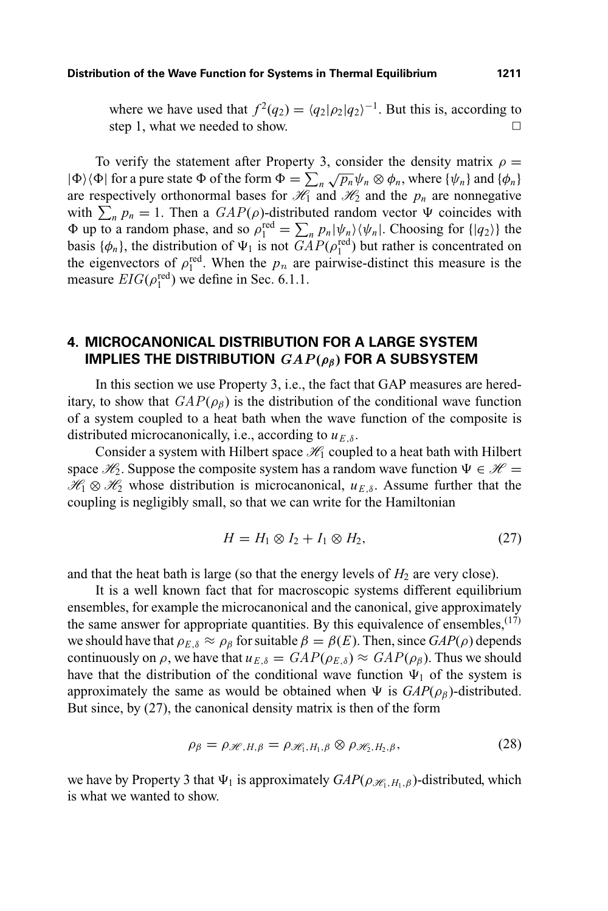where we have used that  $f^2(q_2) = \langle q_2 | \rho_2 | q_2 \rangle^{-1}$ . But this is, according to step 1, what we needed to show.  $\Box$ 

To verify the statement after Property 3, consider the density matrix  $\rho =$  $|\Phi\rangle\langle\Phi|$  for a pure state  $\Phi$  of the form  $\Phi = \sum_n \sqrt{p_n} \psi_n \otimes \phi_n$ , where  $\{\psi_n\}$  and  $\{\phi_n\}$ are respectively orthonormal bases for  $\mathcal{H}_1$  and  $\mathcal{H}_2$  and the  $p_n$  are nonnegative with  $\sum_{n} p_n = 1$ . Then a  $GAP(\rho)$ -distributed random vector  $\Psi$  coincides with  $\Phi$  up to a random phase, and so  $\rho_1^{\text{red}} = \sum_n p_n |\psi_n\rangle \langle \psi_n|$ . Choosing for  $\{|q_2\rangle\}$  the basis  $\{\phi_n\}$ , the distribution of  $\Psi_1$  is not  $GAP(\rho_1^{\text{red}})$  but rather is concentrated on the eigenvectors of  $\rho_1^{\text{red}}$ . When the  $p_n$  are pairwise-distinct this measure is the measure  $EIG(\rho_1^{\text{red}})$  we define in Sec. 6.1.1.

# **4. MICROCANONICAL DISTRIBUTION FOR A LARGE SYSTEM IMPLIES THE DISTRIBUTION** *GAP***(***ρβ***) FOR A SUBSYSTEM**

In this section we use Property 3, i.e., the fact that GAP measures are hereditary, to show that  $GAP(\rho_{\beta})$  is the distribution of the conditional wave function of a system coupled to a heat bath when the wave function of the composite is distributed microcanonically, i.e., according to  $u_{E,\delta}$ .

Consider a system with Hilbert space  $\mathcal{H}_1$  coupled to a heat bath with Hilbert space  $\mathcal{H}_2$ . Suppose the composite system has a random wave function  $\Psi \in \mathcal{H}$  =  $\mathcal{H}_1 \otimes \mathcal{H}_2$  whose distribution is microcanonical,  $u_{E,\delta}$ . Assume further that the coupling is negligibly small, so that we can write for the Hamiltonian

$$
H = H_1 \otimes I_2 + I_1 \otimes H_2,\tag{27}
$$

and that the heat bath is large (so that the energy levels of  $H_2$  are very close).

It is a well known fact that for macroscopic systems different equilibrium ensembles, for example the microcanonical and the canonical, give approximately the same answer for appropriate quantities. By this equivalence of ensembles,  $(17)$ we should have that  $\rho_{E,\delta} \approx \rho_{\beta}$  for suitable  $\beta = \beta(E)$ . Then, since  $GAP(\rho)$  depends continuously on  $\rho$ , we have that  $u_{E,\delta} = \frac{GAP(\rho_{E,\delta})}{\epsilon} \approx \frac{GAP(\rho_{\beta})}{\epsilon}$ . Thus we should have that the distribution of the conditional wave function  $\Psi_1$  of the system is approximately the same as would be obtained when  $\Psi$  is  $GAP(\rho_{\beta})$ -distributed. But since, by (27), the canonical density matrix is then of the form

$$
\rho_{\beta} = \rho_{\mathscr{H}, H, \beta} = \rho_{\mathscr{H}_1, H_1, \beta} \otimes \rho_{\mathscr{H}_2, H_2, \beta}, \tag{28}
$$

we have by Property 3 that  $\Psi_1$  is approximately  $GAP(\rho_{\mathcal{H}_1,H_1,\beta})$ -distributed, which is what we wanted to show.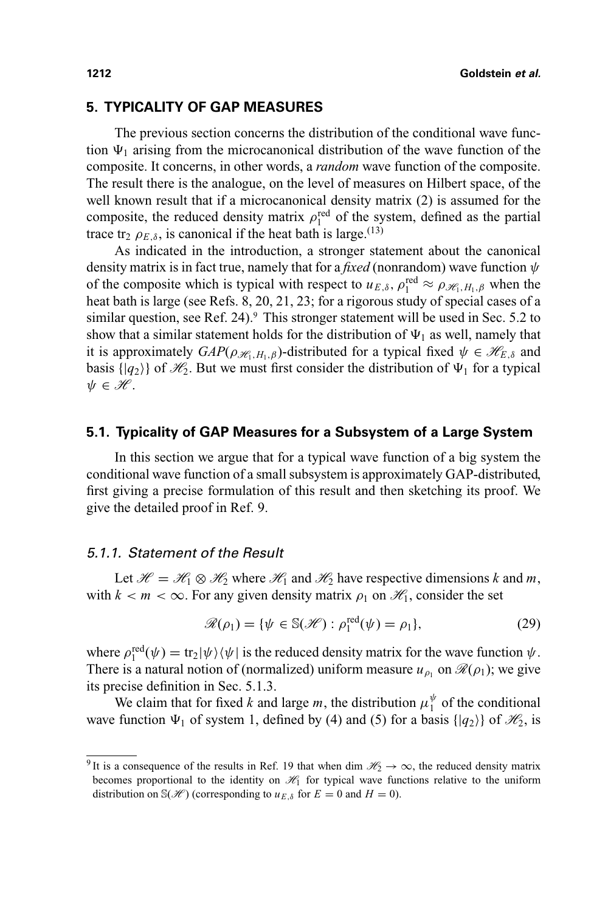# **5. TYPICALITY OF GAP MEASURES**

The previous section concerns the distribution of the conditional wave function  $\Psi_1$  arising from the microcanonical distribution of the wave function of the composite. It concerns, in other words, a *random* wave function of the composite. The result there is the analogue, on the level of measures on Hilbert space, of the well known result that if a microcanonical density matrix (2) is assumed for the composite, the reduced density matrix  $\rho_1^{\text{red}}$  of the system, defined as the partial trace tr<sub>2</sub>  $\rho_{E,\delta}$ , is canonical if the heat bath is large.<sup>(13)</sup>

As indicated in the introduction, a stronger statement about the canonical density matrix is in fact true, namely that for a *fixed* (nonrandom) wave function  $\psi$ of the composite which is typical with respect to  $u_{E,\delta}$ ,  $\rho_1^{\text{red}} \approx \rho_{\mathcal{H}_1,H_1,\beta}$  when the heat bath is large (see Refs. 8, 20, 21, 23; for a rigorous study of special cases of a similar question, see Ref. 24).<sup>9</sup> This stronger statement will be used in Sec. 5.2 to show that a similar statement holds for the distribution of  $\Psi_1$  as well, namely that it is approximately  $GAP(\rho_{\mathcal{H}_1,H_1,\beta})$ -distributed for a typical fixed  $\psi \in \mathcal{H}_{E,\delta}$  and basis  $\{ |q_2\rangle \}$  of  $\mathcal{H}_2$ . But we must first consider the distribution of  $\Psi_1$  for a typical  $\psi \in \mathscr{H}$ .

#### **5.1. Typicality of GAP Measures for a Subsystem of a Large System**

In this section we argue that for a typical wave function of a big system the conditional wave function of a small subsystem is approximately GAP-distributed, first giving a precise formulation of this result and then sketching its proof. We give the detailed proof in Ref. 9.

#### 5.1.1. Statement of the Result

Let  $\mathcal{H} = \mathcal{H}_1 \otimes \mathcal{H}_2$  where  $\mathcal{H}_1$  and  $\mathcal{H}_2$  have respective dimensions *k* and *m*, with  $k < m < \infty$ . For any given density matrix  $\rho_1$  on  $\mathcal{H}_1$ , consider the set

$$
\mathcal{R}(\rho_1) = \{ \psi \in \mathbb{S}(\mathcal{H}) : \rho_1^{\text{red}}(\psi) = \rho_1 \},\tag{29}
$$

where  $\rho_1^{\text{red}}(\psi) = \text{tr}_2|\psi\rangle\langle\psi|$  is the reduced density matrix for the wave function  $\psi$ . There is a natural notion of (normalized) uniform measure  $u_{\rho_1}$  on  $\mathcal{R}(\rho_1)$ ; we give its precise definition in Sec. 5.1.3.

We claim that for fixed *k* and large *m*, the distribution  $\mu_1^{\psi}$  of the conditional wave function  $\Psi_1$  of system 1, defined by (4) and (5) for a basis { $|q_2\rangle$ } of  $\mathcal{H}_2$ , is

<sup>&</sup>lt;sup>9</sup> It is a consequence of the results in Ref. 19 that when dim  $\mathcal{H}_2 \to \infty$ , the reduced density matrix becomes proportional to the identity on  $\mathcal{H}_1$  for typical wave functions relative to the uniform distribution on  $\mathcal{S}(\mathcal{H})$  (corresponding to  $u_{E,\delta}$  for  $E=0$  and  $H=0$ ).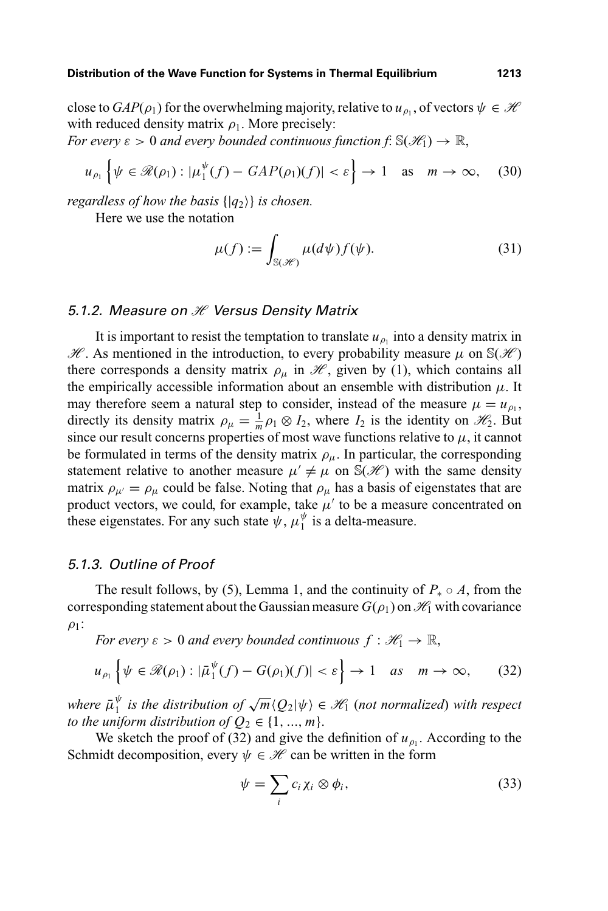close to  $GAP(\rho_1)$  for the overwhelming majority, relative to  $u_{\rho_1}$ , of vectors  $\psi \in \mathcal{H}$ with reduced density matrix  $\rho_1$ . More precisely:

*For every*  $\varepsilon > 0$  *and every bounded continuous function f*:  $\mathbb{S}(\mathcal{H}_1) \to \mathbb{R}$ ,

$$
u_{\rho_1}\left\{\psi\in\mathcal{R}(\rho_1):|\mu_1^{\psi}(f)-GAP(\rho_1)(f)|<\varepsilon\right\}\to 1\quad\text{as}\quad m\to\infty,\quad(30)
$$

*regardless of how the basis* {|*q*2} *is chosen.*

Here we use the notation

$$
\mu(f) := \int_{\mathbb{S}(\mathscr{H})} \mu(d\psi) f(\psi). \tag{31}
$$

#### 5.1.2. Measure on  $H$  Versus Density Matrix

It is important to resist the temptation to translate  $u_{\rho_1}$  into a density matrix in  $\mathcal{H}$ . As mentioned in the introduction, to every probability measure  $\mu$  on  $\mathbb{S}(\mathcal{H})$ there corresponds a density matrix  $\rho_{\mu}$  in  $\mathcal{H}$ , given by (1), which contains all the empirically accessible information about an ensemble with distribution  $\mu$ . It may therefore seem a natural step to consider, instead of the measure  $\mu = u_{\rho_1}$ , directly its density matrix  $\rho_{\mu} = \frac{1}{m} \rho_1 \otimes I_2$ , where  $I_2$  is the identity on  $\mathcal{H}_2$ . But since our result concerns properties of most wave functions relative to  $\mu$ , it cannot be formulated in terms of the density matrix  $\rho_{\mu}$ . In particular, the corresponding statement relative to another measure  $\mu' \neq \mu$  on  $\mathbb{S}(\mathcal{H})$  with the same density matrix  $\rho_{\mu'} = \rho_{\mu}$  could be false. Noting that  $\rho_{\mu}$  has a basis of eigenstates that are product vectors, we could, for example, take  $\mu'$  to be a measure concentrated on these eigenstates. For any such state  $\psi$ ,  $\mu_1^{\psi}$  is a delta-measure.

#### 5.1.3. Outline of Proof

The result follows, by (5), Lemma 1, and the continuity of  $P_* \circ A$ , from the corresponding statement about the Gaussian measure  $G(\rho_1)$  on  $\mathcal{H}_1$  with covariance  $\rho_1$ :

*For every*  $\varepsilon > 0$  *and every bounded continuous*  $f : \mathcal{H}_1 \to \mathbb{R}$ ,

$$
u_{\rho_1}\left\{\psi\in\mathscr{R}(\rho_1):|\bar{\mu}_1^{\psi}(f)-G(\rho_1)(f)|<\varepsilon\right\}\to 1\quad\text{as}\quad m\to\infty,\qquad(32)
$$

where  $\bar{\mu}_1^{\psi}$  is the distribution of  $\sqrt{m} \langle Q_2 | \psi \rangle \in \mathscr{H}_1$  (not normalized) with respect *to the uniform distribution of*  $Q_2 \in \{1, ..., m\}$ .

We sketch the proof of (32) and give the definition of  $u_{\rho_1}$ . According to the Schmidt decomposition, every  $\psi \in \mathcal{H}$  can be written in the form

$$
\psi = \sum_i c_i \chi_i \otimes \phi_i, \tag{33}
$$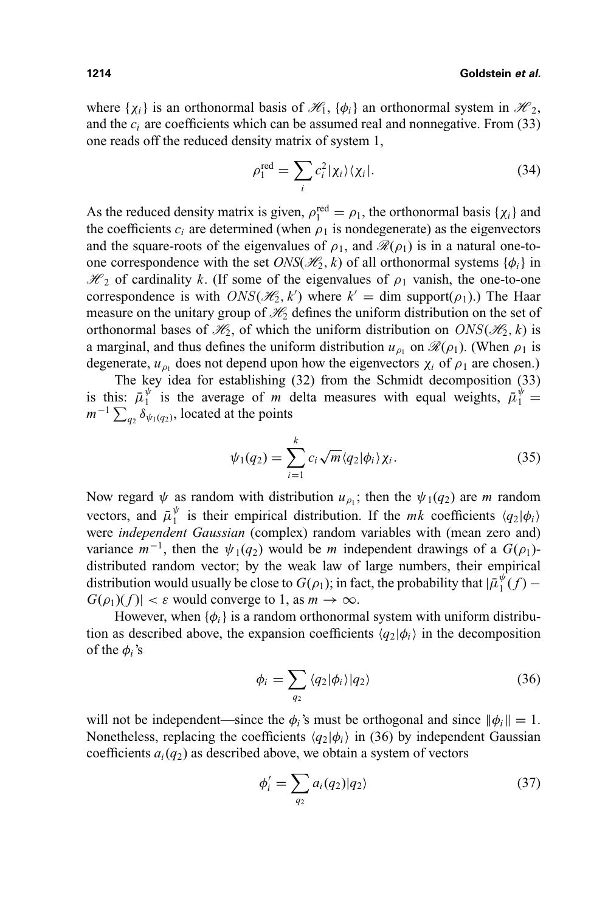where  $\{\chi_i\}$  is an orthonormal basis of  $\mathcal{H}_1$ ,  $\{\phi_i\}$  an orthonormal system in  $\mathcal{H}_2$ , and the  $c_i$  are coefficients which can be assumed real and nonnegative. From  $(33)$ one reads off the reduced density matrix of system 1,

$$
\rho_1^{\text{red}} = \sum_i c_i^2 |\chi_i\rangle\langle\chi_i|.\tag{34}
$$

As the reduced density matrix is given,  $\rho_1^{\text{red}} = \rho_1$ , the orthonormal basis { $\chi_i$ } and the coefficients  $c_i$  are determined (when  $\rho_1$  is nondegenerate) as the eigenvectors and the square-roots of the eigenvalues of  $\rho_1$ , and  $\mathcal{R}(\rho_1)$  is in a natural one-toone correspondence with the set  $ONS(\mathcal{H}_2, k)$  of all orthonormal systems  $\{\phi_i\}$  in  $\mathcal{H}_2$  of cardinality *k*. (If some of the eigenvalues of  $\rho_1$  vanish, the one-to-one correspondence is with  $ONS(\mathcal{H}_2, k')$  where  $k' = \text{dim } \text{support}(\rho_1)$ .) The Haar measure on the unitary group of  $\mathcal{H}_2$  defines the uniform distribution on the set of orthonormal bases of  $\mathcal{H}_2$ , of which the uniform distribution on  $ONS(\mathcal{H}_2, k)$  is a marginal, and thus defines the uniform distribution  $u_{\rho_1}$  on  $\mathcal{R}(\rho_1)$ . (When  $\rho_1$  is degenerate,  $u_{\rho_1}$  does not depend upon how the eigenvectors  $\chi_i$  of  $\rho_1$  are chosen.)

The key idea for establishing (32) from the Schmidt decomposition (33) is this:  $\bar{\mu}_1^{\psi}$  is the average of *m* delta measures with equal weights,  $\bar{\mu}_1^{\psi}$  =  $m^{-1} \sum_{q_2} \delta_{\psi_1(q_2)}$ , located at the points

$$
\psi_1(q_2) = \sum_{i=1}^k c_i \sqrt{m} \langle q_2 | \phi_i \rangle \chi_i. \tag{35}
$$

Now regard  $\psi$  as random with distribution  $u_{\rho_1}$ ; then the  $\psi_1(q_2)$  are *m* random vectors, and  $\bar{\mu}_1^{\psi}$  is their empirical distribution. If the *mk* coefficients  $\langle q_2 | \phi_i \rangle$ were *independent Gaussian* (complex) random variables with (mean zero and) variance  $m^{-1}$ , then the  $\psi_1(q_2)$  would be *m* independent drawings of a  $G(\rho_1)$ distributed random vector; by the weak law of large numbers, their empirical distribution would usually be close to  $G(\rho_1)$ ; in fact, the probability that  $|\bar{\mu}_1^{\psi}(f) G(\rho_1)(f)| < \varepsilon$  would converge to 1, as  $m \to \infty$ .

However, when  $\{\phi_i\}$  is a random orthonormal system with uniform distribution as described above, the expansion coefficients  $\langle q_2|\phi_i\rangle$  in the decomposition of the  $\phi_i$ 's

$$
\phi_i = \sum_{q_2} \langle q_2 | \phi_i \rangle | q_2 \rangle \tag{36}
$$

will not be independent—since the  $\phi_i$ 's must be orthogonal and since  $\|\phi_i\| = 1$ . Nonetheless, replacing the coefficients  $\langle q_2|\phi_i\rangle$  in (36) by independent Gaussian coefficients  $a_i(q_2)$  as described above, we obtain a system of vectors

$$
\phi_i' = \sum_{q_2} a_i(q_2) |q_2\rangle \tag{37}
$$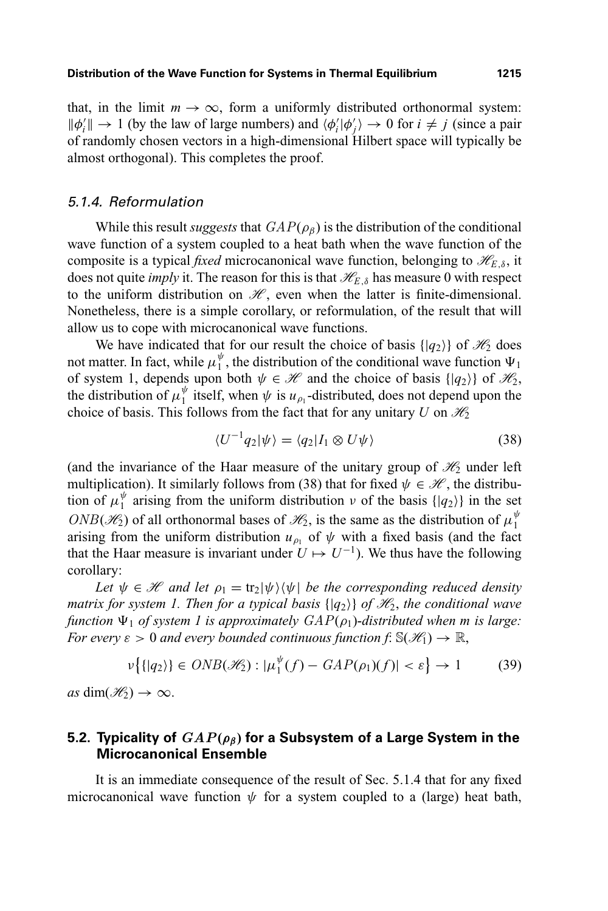that, in the limit  $m \to \infty$ , form a uniformly distributed orthonormal system:  $\|\phi_i'\| \to 1$  (by the law of large numbers) and  $\langle \phi_i' | \phi_j' \rangle \to 0$  for  $i \neq j$  (since a pair of randomly chosen vectors in a high-dimensional Hilbert space will typically be almost orthogonal). This completes the proof.

#### 5.1.4. Reformulation

While this result *suggests* that  $GAP(\rho_\beta)$  is the distribution of the conditional wave function of a system coupled to a heat bath when the wave function of the composite is a typical *fixed* microcanonical wave function, belonging to  $\mathcal{H}_{E,\delta}$ , it does not quite *imply* it. The reason for this is that  $\mathcal{H}_{E,\delta}$  has measure 0 with respect to the uniform distribution on  $\mathcal{H}$ , even when the latter is finite-dimensional. Nonetheless, there is a simple corollary, or reformulation, of the result that will allow us to cope with microcanonical wave functions.

We have indicated that for our result the choice of basis  $\{|q_2\rangle\}$  of  $\mathcal{H}_2$  does not matter. In fact, while  $\mu_1^{\psi}$ , the distribution of the conditional wave function  $\Psi_1$ of system 1, depends upon both  $\psi \in \mathcal{H}$  and the choice of basis  $\{ |q_2\rangle \}$  of  $\mathcal{H}_2$ , the distribution of  $\mu_1^{\psi}$  itself, when  $\psi$  is  $u_{\rho_1}$ -distributed, does not depend upon the choice of basis. This follows from the fact that for any unitary *U* on  $\mathcal{H}_2$ 

$$
\langle U^{-1}q_2|\psi\rangle = \langle q_2|I_1 \otimes U\psi\rangle \tag{38}
$$

(and the invariance of the Haar measure of the unitary group of  $\mathcal{H}_2$  under left multiplication). It similarly follows from (38) that for fixed  $\psi \in \mathcal{H}$ , the distribution of  $\mu_1^{\psi}$  arising from the uniform distribution  $\nu$  of the basis  $\{ |q_2 \rangle \}$  in the set ONB( $\mathcal{H}_2$ ) of all orthonormal bases of  $\mathcal{H}_2$ , is the same as the distribution of  $\mu_1^{\psi}$ arising from the uniform distribution  $u_{\rho_1}$  of  $\psi$  with a fixed basis (and the fact that the Haar measure is invariant under  $U \mapsto U^{-1}$ ). We thus have the following corollary:

*Let*  $\psi \in \mathcal{H}$  *and let*  $\rho_1 = \text{tr}_2|\psi\rangle\langle\psi|$  *be the corresponding reduced density matrix for system 1. Then for a typical basis*  $\{ |q_2\rangle \}$  *of*  $\mathcal{H}_2$ *, the conditional wave function*  $\Psi_1$  *of system 1 is approximately GAP(* $\rho_1$ *)-distributed when m is large: For every*  $\varepsilon > 0$  *and every bounded continuous function f*:  $\mathbb{S}(\mathcal{H}_1) \to \mathbb{R}$ ,

$$
\nu\big\{\{|q_2\rangle\}\in ONB(\mathscr{H}_2):|\mu_1^{\psi}(f)-GAP(\rho_1)(f)|<\varepsilon\big\}\to 1\qquad(39)
$$

 $as \dim(\mathcal{H}_2) \to \infty$ .

# **5.2. Typicality of** *GAP***(***ρβ***) for a Subsystem of a Large System in the Microcanonical Ensemble**

It is an immediate consequence of the result of Sec. 5.1.4 that for any fixed microcanonical wave function  $\psi$  for a system coupled to a (large) heat bath,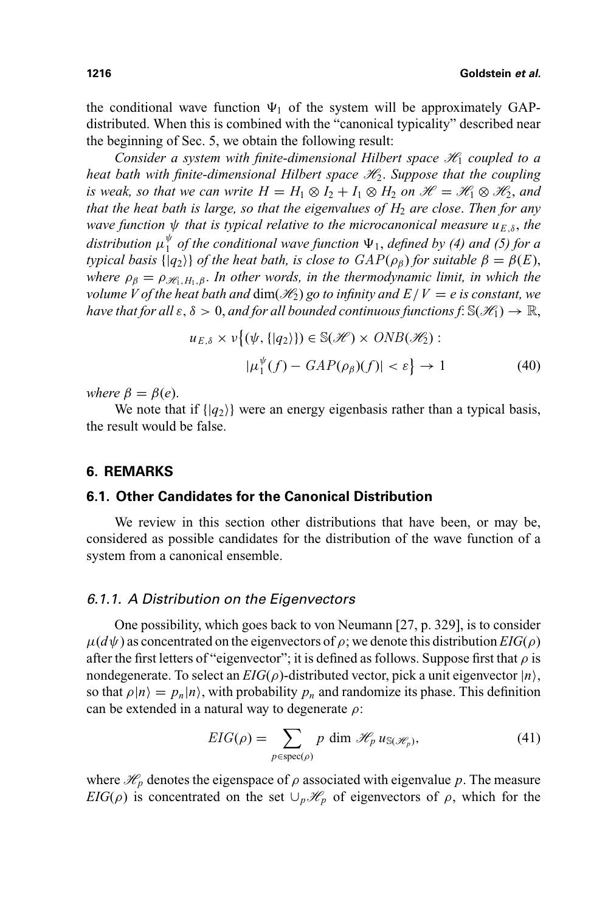the conditional wave function  $\Psi_1$  of the system will be approximately GAPdistributed. When this is combined with the "canonical typicality" described near the beginning of Sec. 5, we obtain the following result:

*Consider a system with finite-dimensional Hilbert space*  $\mathcal{H}_1$  *coupled to a heat bath with finite-dimensional Hilbert space*  $H_2$ *. Suppose that the coupling is weak, so that we can write*  $H = H_1 \otimes I_2 + I_1 \otimes H_2$  *on*  $\mathcal{H} = \mathcal{H}_1 \otimes \mathcal{H}_2$ *, and that the heat bath is large, so that the eigenvalues of H<sub>2</sub> are close. Then for any wave function*  $\psi$  *that is typical relative to the microcanonical measure*  $u_{E,\delta}$ *, the* distribution  $\mu_1^{\psi}$  of the conditional wave function  $\Psi_1$ , defined by (4) and (5) for a *typical basis*  $\{ |q_2\rangle \}$  *of the heat bath, is close to*  $GAP(\rho_\beta)$  *for suitable*  $\beta = \beta(E)$ , *where*  $\rho_{\beta} = \rho_{\mathcal{H},H_1,\beta}$ . *In other words, in the thermodynamic limit, in which the volume V of the heat bath and dim(* $\mathcal{H}_2$ *) go to infinity and*  $E/V = e$  *is constant, we have that for all*  $\varepsilon, \delta > 0$ , *and for all bounded continuous functions f*:  $\mathbb{S}(\mathcal{H}_1) \to \mathbb{R}$ ,

$$
u_{E,\delta} \times \nu \{ (\psi, \{|q_2\rangle\}) \in \mathbb{S}(\mathcal{H}) \times ONB(\mathcal{H}_2) : |\mu_1^{\psi}(f) - GAP(\rho_{\beta})(f)| < \varepsilon \} \to 1
$$
 (40)

*where*  $\beta = \beta(e)$ .

We note that if  $\{ |q_2 \rangle \}$  were an energy eigenbasis rather than a typical basis, the result would be false.

#### **6. REMARKS**

# **6.1. Other Candidates for the Canonical Distribution**

We review in this section other distributions that have been, or may be, considered as possible candidates for the distribution of the wave function of a system from a canonical ensemble.

#### 6.1.1. A Distribution on the Eigenvectors

One possibility, which goes back to von Neumann [27, p. 329], is to consider  $\mu(d\psi)$  as concentrated on the eigenvectors of  $\rho$ ; we denote this distribution *EIG*( $\rho$ ) after the first letters of "eigenvector"; it is defined as follows. Suppose first that  $\rho$  is nondegenerate. To select an  $EIG(\rho)$ -distributed vector, pick a unit eigenvector  $|n\rangle$ , so that  $\rho|n\rangle = p_n|n\rangle$ , with probability  $p_n$  and randomize its phase. This definition can be extended in a natural way to degenerate  $\rho$ :

$$
EIG(\rho) = \sum_{p \in \text{spec}(\rho)} p \dim \mathcal{H}_p u_{\mathbb{S}(\mathcal{H}_p)},\tag{41}
$$

where  $\mathcal{H}_p$  denotes the eigenspace of  $\rho$  associated with eigenvalue  $p$ . The measure *EIG*( $\rho$ ) is concentrated on the set  $\cup_p\mathcal{H}_p$  of eigenvectors of  $\rho$ , which for the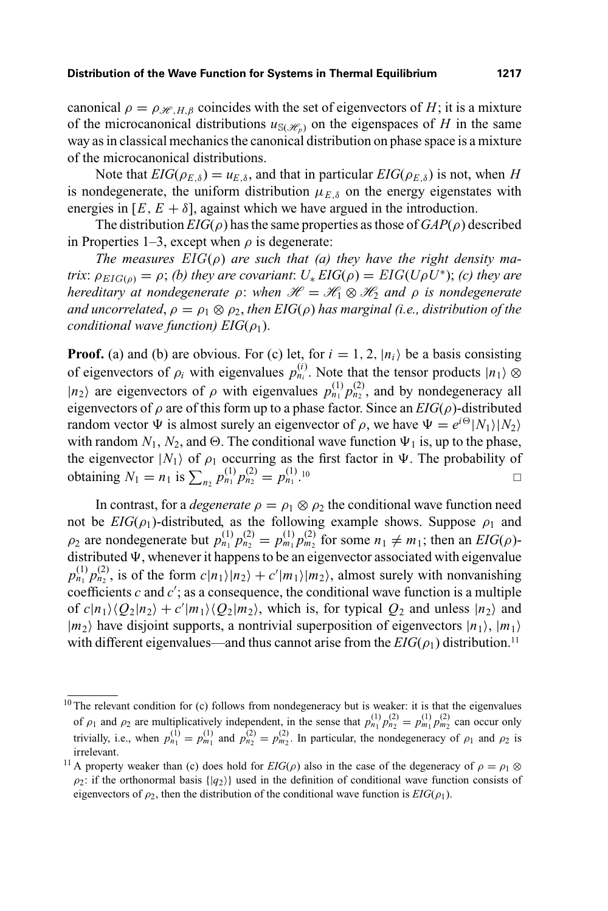canonical  $\rho = \rho_{\mathcal{H},H,\beta}$  coincides with the set of eigenvectors of *H*; it is a mixture of the microcanonical distributions  $u_{S(\mathcal{H}_n)}$  on the eigenspaces of *H* in the same way as in classical mechanics the canonical distribution on phase space is a mixture of the microcanonical distributions.

Note that  $EIG(\rho_{E,\delta}) = u_{E,\delta}$ , and that in particular  $EIG(\rho_{E,\delta})$  is not, when *H* is nondegenerate, the uniform distribution  $\mu_{E,\delta}$  on the energy eigenstates with energies in  $[E, E + \delta]$ , against which we have argued in the introduction.

The distribution  $EIG(\rho)$  has the same properties as those of  $GAP(\rho)$  described in Properties 1–3, except when  $\rho$  is degenerate:

*The measures* EIG(ρ) *are such that (a) they have the right density matrix*:  $\rho_{EIG(0)} = \rho$ ; *(b) they are covariant*:  $U_* EIG(\rho) = EIG(U\rho U^*)$ ; *(c) they are hereditary at nondegenerate*  $\rho$ : *when*  $\mathcal{H} = \mathcal{H}_1 \otimes \mathcal{H}_2$  *and*  $\rho$  *is nondegenerate and uncorrelated,*  $\rho = \rho_1 \otimes \rho_2$ , *then EIG(* $\rho$ *) has marginal (i.e., distribution of the conditional wave function)*  $EIG(\rho_1)$ .

**Proof.** (a) and (b) are obvious. For (c) let, for  $i = 1, 2, |n_i\rangle$  be a basis consisting of eigenvectors of  $\rho_i$  with eigenvalues  $p_{n_i}^{(i)}$ . Note that the tensor products  $|n_1\rangle \otimes$  $|n_2\rangle$  are eigenvectors of  $\rho$  with eigenvalues  $p_{n_1}^{(1)} p_{n_2}^{(2)}$ , and by nondegeneracy all eigenvectors of  $\rho$  are of this form up to a phase factor. Since an  $EIG(\rho)$ -distributed random vector  $\Psi$  is almost surely an eigenvector of  $\rho$ , we have  $\Psi = e^{i\Theta} |N_1\rangle |N_2\rangle$ with random  $N_1$ ,  $N_2$ , and  $\Theta$ . The conditional wave function  $\Psi_1$  is, up to the phase, the eigenvector  $|N_1\rangle$  of  $\rho_1$  occurring as the first factor in  $\Psi$ . The probability of obtaining  $N_1 = n_1$  is  $\sum_{n_2} p_{n_1}^{(1)} p_{n_2}^{(2)} = p_{n_1}^{(1)}$ . 10

In contrast, for a *degenerate*  $\rho = \rho_1 \otimes \rho_2$  the conditional wave function need not be  $EIG(\rho_1)$ -distributed, as the following example shows. Suppose  $\rho_1$  and  $\rho_2$  are nondegenerate but  $p_{n_1}^{(1)} p_{n_2}^{(2)} = p_{m_1}^{(1)} p_{m_2}^{(2)}$  for some  $n_1 \neq m_1$ ; then an *EIG*( $\rho$ )distributed  $\Psi$ , whenever it happens to be an eigenvector associated with eigenvalue  $p_{n_1}^{(1)} p_{n_2}^{(2)}$ , is of the form  $c|n_1\rangle|n_2\rangle + c'|m_1\rangle|m_2\rangle$ , almost surely with nonvanishing coefficients  $c$  and  $c'$ ; as a consequence, the conditional wave function is a multiple of  $c|n_1\rangle \langle Q_2|n_2\rangle + c'|m_1\rangle \langle Q_2|m_2\rangle$ , which is, for typical  $Q_2$  and unless  $|n_2\rangle$  and  $|m_2\rangle$  have disjoint supports, a nontrivial superposition of eigenvectors  $|n_1\rangle$ ,  $|m_1\rangle$ with different eigenvalues—and thus cannot arise from the  $EIG(\rho_1)$  distribution.<sup>11</sup>

 $10$  The relevant condition for (c) follows from nondegeneracy but is weaker: it is that the eigenvalues of  $\rho_1$  and  $\rho_2$  are multiplicatively independent, in the sense that  $p_{n_1}^{(1)} p_{n_2}^{(2)} = p_{m_1}^{(1)} p_{m_2}^{(2)}$  can occur only trivially, i.e., when  $p_{n_1}^{(1)} = p_{m_1}^{(1)}$  and  $p_{n_2}^{(2)} = p_{m_2}^{(2)}$ . In particular, the nondegeneracy of  $\rho_1$  and  $\rho_2$  is irrelevant.

<sup>&</sup>lt;sup>11</sup> A property weaker than (c) does hold for  $EIG(\rho)$  also in the case of the degeneracy of  $\rho = \rho_1 \otimes$  $\rho_2$ : if the orthonormal basis  $\{ |q_2\rangle \}$  used in the definition of conditional wave function consists of eigenvectors of  $\rho_2$ , then the distribution of the conditional wave function is  $EIG(\rho_1)$ .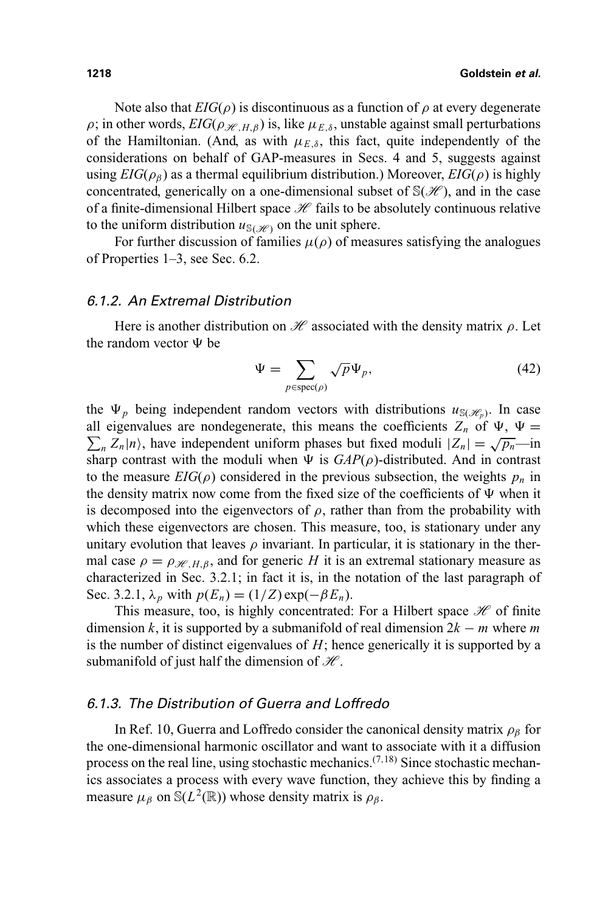Note also that  $EIG(\rho)$  is discontinuous as a function of  $\rho$  at every degenerate  $\rho$ ; in other words,  $EIG(\rho_{H,H,B})$  is, like  $\mu_{E,\delta}$ , unstable against small perturbations of the Hamiltonian. (And, as with  $\mu_{E,\delta}$ , this fact, quite independently of the considerations on behalf of GAP-measures in Secs. 4 and 5, suggests against using *EIG*( $\rho_B$ ) as a thermal equilibrium distribution.) Moreover, *EIG*( $\rho$ ) is highly concentrated, generically on a one-dimensional subset of  $\mathbb{S}(\mathcal{H})$ , and in the case of a finite-dimensional Hilbert space  $\mathcal{H}$  fails to be absolutely continuous relative to the uniform distribution  $u_{\mathcal{S}(\mathcal{H})}$  on the unit sphere.

For further discussion of families  $\mu(\rho)$  of measures satisfying the analogues of Properties 1–3, see Sec. 6.2.

#### 6.1.2. An Extremal Distribution

Here is another distribution on  $\mathcal H$  associated with the density matrix  $\rho$ . Let the random vector  $\Psi$  be

$$
\Psi = \sum_{p \in \text{spec}(\rho)} \sqrt{p} \Psi_p,\tag{42}
$$

the  $\Psi_p$  being independent random vectors with distributions  $u_{S(\mathscr{H}_p)}$ . In case  $\sum_{n} Z_n |n\rangle$ , have independent uniform phases but fixed moduli  $|Z_n| = \sqrt{p_n} - \ln n$ all eigenvalues are nondegenerate, this means the coefficients  $Z_n$  of  $\Psi$ ,  $\Psi$  = sharp contrast with the moduli when  $\Psi$  is  $GAP(\rho)$ -distributed. And in contrast to the measure  $EIG(\rho)$  considered in the previous subsection, the weights  $p_n$  in the density matrix now come from the fixed size of the coefficients of  $\Psi$  when it is decomposed into the eigenvectors of  $\rho$ , rather than from the probability with which these eigenvectors are chosen. This measure, too, is stationary under any unitary evolution that leaves  $\rho$  invariant. In particular, it is stationary in the thermal case  $\rho = \rho_{\mathcal{H},H,\beta}$ , and for generic *H* it is an extremal stationary measure as characterized in Sec. 3.2.1; in fact it is, in the notation of the last paragraph of Sec. 3.2.1,  $\lambda_p$  with  $p(E_n) = (1/Z) \exp(-\beta E_n)$ .

This measure, too, is highly concentrated: For a Hilbert space  $\mathcal H$  of finite dimension *k*, it is supported by a submanifold of real dimension  $2k - m$  where *m* is the number of distinct eigenvalues of *H*; hence generically it is supported by a submanifold of just half the dimension of  $\mathcal{H}$ .

#### 6.1.3. The Distribution of Guerra and Loffredo

In Ref. 10, Guerra and Loffredo consider the canonical density matrix  $\rho_\beta$  for the one-dimensional harmonic oscillator and want to associate with it a diffusion process on the real line, using stochastic mechanics. $(7,18)$  Since stochastic mechanics associates a process with every wave function, they achieve this by finding a measure  $\mu_{\beta}$  on S( $L^2(\mathbb{R})$ ) whose density matrix is  $\rho_{\beta}$ .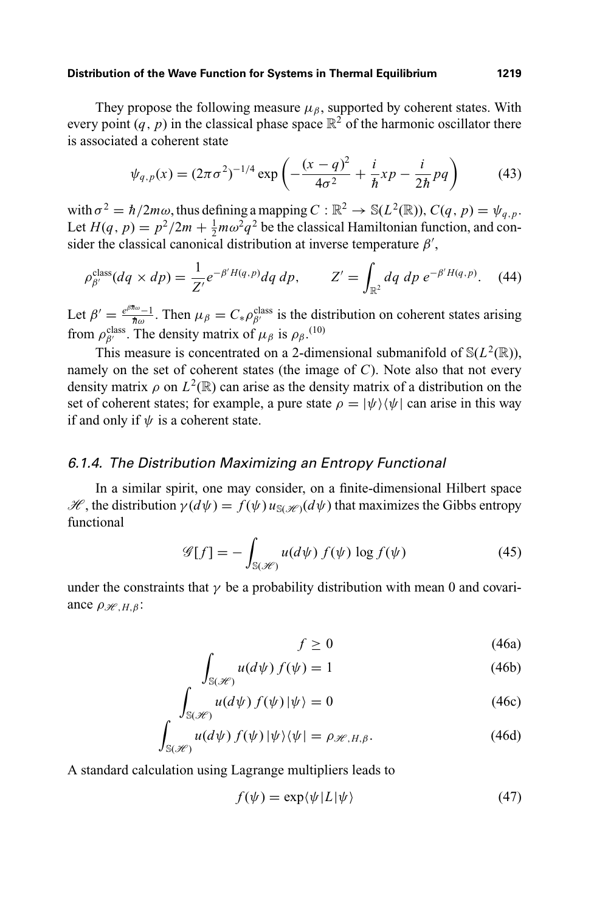**Distribution of the Wave Function for Systems in Thermal Equilibrium 1219**

They propose the following measure  $\mu_{\beta}$ , supported by coherent states. With every point  $(q, p)$  in the classical phase space  $\mathbb{R}^2$  of the harmonic oscillator there is associated a coherent state

$$
\psi_{q,p}(x) = (2\pi\sigma^2)^{-1/4} \exp\left(-\frac{(x-q)^2}{4\sigma^2} + \frac{i}{\hbar}xp - \frac{i}{2\hbar}pq\right)
$$
(43)

with  $\sigma^2 = \hbar/2m\omega$ , thus defining a mapping  $C : \mathbb{R}^2 \to \mathbb{S}(L^2(\mathbb{R}))$ ,  $C(q, p) = \psi_{q, p}$ . Let  $H(q, p) = p^2/2m + \frac{1}{2}m\omega^2 q^2$  be the classical Hamiltonian function, and consider the classical canonical distribution at inverse temperature  $\beta'$ ,

$$
\rho_{\beta'}^{\text{class}}(dq \times dp) = \frac{1}{Z'} e^{-\beta'H(q,p)} dq \, dp, \qquad Z' = \int_{\mathbb{R}^2} dq \, dp \, e^{-\beta'H(q,p)}.
$$
 (44)

Let  $\beta' = \frac{e^{\beta \pi \omega} - 1}{\pi \omega}$ . Then  $\mu_{\beta} = C_* \rho_{\beta'}^{\text{class}}$  is the distribution on coherent states arising from  $\rho_{\beta'}^{\text{class}}$ . The density matrix of  $\mu_{\beta}$  is  $\rho_{\beta}$ .<sup>(10)</sup>

This measure is concentrated on a 2-dimensional submanifold of  $\mathcal{S}(L^2(\mathbb{R}))$ , namely on the set of coherent states (the image of *C*). Note also that not every density matrix  $\rho$  on  $L^2(\mathbb{R})$  can arise as the density matrix of a distribution on the set of coherent states; for example, a pure state  $\rho = |\psi\rangle \langle \psi|$  can arise in this way if and only if  $\psi$  is a coherent state.

## 6.1.4. The Distribution Maximizing an Entropy Functional

In a similar spirit, one may consider, on a finite-dimensional Hilbert space  $\mathcal{H}$ , the distribution  $\gamma(d\psi) = f(\psi)u_{\mathcal{S}(\mathcal{H})}(d\psi)$  that maximizes the Gibbs entropy functional

$$
\mathscr{G}[f] = -\int_{\mathbb{S}(\mathscr{H})} u(d\psi) f(\psi) \log f(\psi) \tag{45}
$$

under the constraints that  $\gamma$  be a probability distribution with mean 0 and covariance  $\rho_{\mathscr{H},H,\beta}$ :

$$
f \ge 0 \tag{46a}
$$

$$
\int_{\mathbb{S}(\mathscr{H})} u(d\psi) f(\psi) = 1
$$
\n(46b)

$$
\int_{\mathbb{S}(\mathcal{H})} u(d\psi) f(\psi) |\psi\rangle = 0
$$
\n(46c)

$$
\int_{\mathbb{S}(\mathcal{H})} u(d\psi) f(\psi) |\psi\rangle \langle \psi| = \rho_{\mathcal{H}, H, \beta}.
$$
\n(46d)

A standard calculation using Lagrange multipliers leads to

$$
f(\psi) = \exp\langle \psi | L | \psi \rangle \tag{47}
$$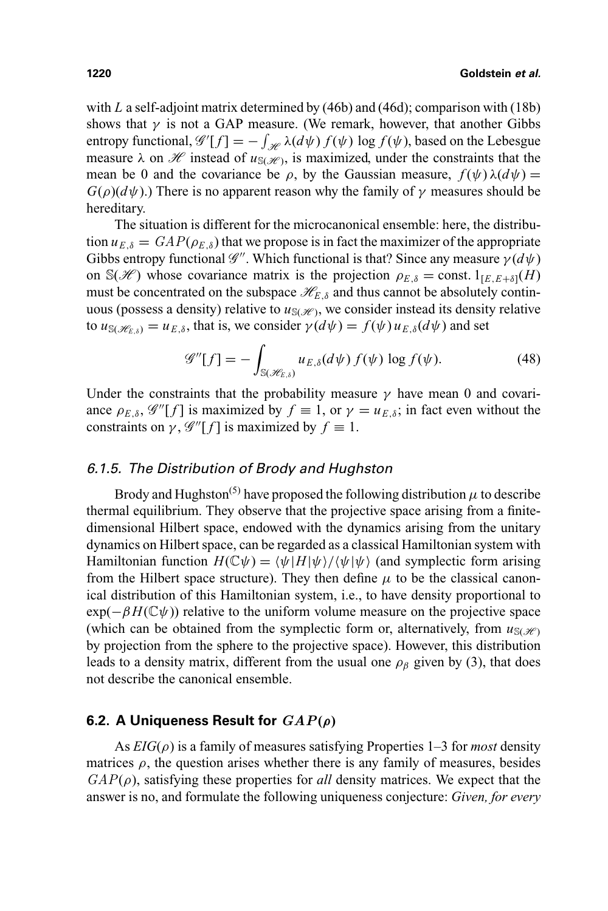with *L* a self-adjoint matrix determined by (46b) and (46d); comparison with (18b) shows that  $\gamma$  is not a GAP measure. (We remark, however, that another Gibbs entropy functional,  $\mathscr{G}'[f] = -\int_{\mathscr{H}} \lambda(d\psi) f(\psi) \log f(\psi)$ , based on the Lebesgue measure  $\lambda$  on  $\mathcal{H}$  instead of  $u_{\text{S}(\mathcal{H})}$ , is maximized, under the constraints that the mean be 0 and the covariance be  $\rho$ , by the Gaussian measure,  $f(\psi)\lambda(d\psi)$  =  $G(\rho)(d\psi)$ .) There is no apparent reason why the family of  $\gamma$  measures should be hereditary.

The situation is different for the microcanonical ensemble: here, the distribution  $u_{E,\delta} = \frac{GAP(\rho_{E,\delta})}{\delta}$  that we propose is in fact the maximizer of the appropriate Gibbs entropy functional  $\mathscr{G}''$ . Which functional is that? Since any measure  $\gamma(d\psi)$ on  $\mathbb{S}(\mathcal{H})$  whose covariance matrix is the projection  $\rho_{E,\delta} = \text{const.} 1_{[E,E+\delta]}(H)$ must be concentrated on the subspace  $\mathcal{H}_{E,\delta}$  and thus cannot be absolutely continuous (possess a density) relative to  $u_{\text{S}(\mathcal{H})}$ , we consider instead its density relative to  $u_{\mathcal{S}(\mathcal{H}_{E,\delta})} = u_{E,\delta}$ , that is, we consider  $\gamma(d\psi) = f(\psi) u_{E,\delta}(d\psi)$  and set

$$
\mathscr{G}''[f] = -\int_{\mathbb{S}(\mathscr{H}_{E,\delta})} u_{E,\delta}(d\psi) f(\psi) \log f(\psi). \tag{48}
$$

Under the constraints that the probability measure  $\gamma$  have mean 0 and covariance  $\rho_{E,\delta}$ ,  $\mathscr{G}''[f]$  is maximized by  $f \equiv 1$ , or  $\gamma = u_{E,\delta}$ ; in fact even without the constraints on  $\gamma$ ,  $\mathscr{G}''[f]$  is maximized by  $f \equiv 1$ .

#### 6.1.5. The Distribution of Brody and Hughston

Brody and Hughston<sup>(5)</sup> have proposed the following distribution  $\mu$  to describe thermal equilibrium. They observe that the projective space arising from a finitedimensional Hilbert space, endowed with the dynamics arising from the unitary dynamics on Hilbert space, can be regarded as a classical Hamiltonian system with Hamiltonian function  $H(\mathbb{C}\psi) = \langle \psi | H | \psi \rangle / \langle \psi | \psi \rangle$  (and symplectic form arising from the Hilbert space structure). They then define  $\mu$  to be the classical canonical distribution of this Hamiltonian system, i.e., to have density proportional to  $exp(-\beta H(\mathbb{C}\psi))$  relative to the uniform volume measure on the projective space (which can be obtained from the symplectic form or, alternatively, from  $u_{S(\mathscr{H})}$ by projection from the sphere to the projective space). However, this distribution leads to a density matrix, different from the usual one  $\rho_\beta$  given by (3), that does not describe the canonical ensemble.

### **6.2. A Uniqueness Result for** *GAP***(***ρ***)**

As *EIG*(ρ) is a family of measures satisfying Properties 1–3 for *most* density matrices  $\rho$ , the question arises whether there is any family of measures, besides  $GAP(\rho)$ , satisfying these properties for *all* density matrices. We expect that the answer is no, and formulate the following uniqueness conjecture: *Given, for every*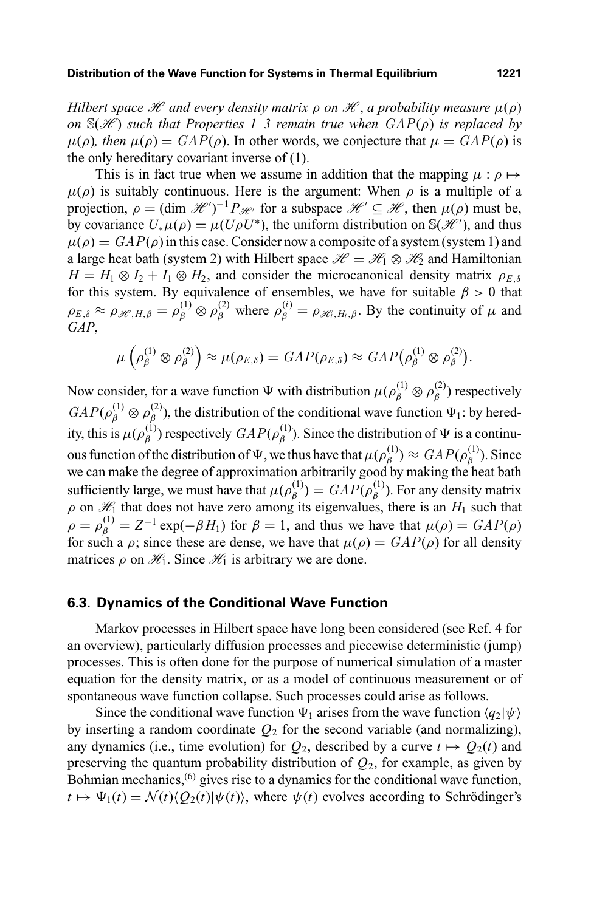*Hilbert space*  $\mathcal H$  *and every density matrix*  $\rho$  *on*  $\mathcal H$ , *a probability measure*  $\mu(\rho)$ *on*  $S(\mathcal{H})$  *such that Properties 1–3 remain true when*  $GAP(\rho)$  *is replaced by*  $\mu(\rho)$ *, then*  $\mu(\rho) = \text{GAP}(\rho)$ *.* In other words, we conjecture that  $\mu = \text{GAP}(\rho)$  is the only hereditary covariant inverse of (1).

This is in fact true when we assume in addition that the mapping  $\mu$ :  $\rho \mapsto$  $\mu(\rho)$  is suitably continuous. Here is the argument: When  $\rho$  is a multiple of a projection,  $\rho = (\dim \mathcal{H}')^{-1} P_{\mathcal{H}'}$  for a subspace  $\mathcal{H}' \subseteq \mathcal{H}$ , then  $\mu(\rho)$  must be, by covariance  $U_*\mu(\rho) = \mu(U\rho U^*)$ , the uniform distribution on S(*H*<sup>e'</sup>), and thus  $\mu(\rho) = \frac{GAP(\rho)}{n}$  in this case. Consider now a composite of a system (system 1) and a large heat bath (system 2) with Hilbert space  $\mathcal{H} = \mathcal{H}_1 \otimes \mathcal{H}_2$  and Hamiltonian  $H = H_1 \otimes I_2 + I_1 \otimes H_2$ , and consider the microcanonical density matrix  $\rho_{E,\delta}$ for this system. By equivalence of ensembles, we have for suitable  $\beta > 0$  that  $\rho_{E,\delta} \approx \rho_{\mathscr{H},H,\beta} = \rho_{\beta}^{(1)} \otimes \rho_{\beta}^{(2)}$  where  $\rho_{\beta}^{(i)} = \rho_{\mathscr{H}_i,H_i,\beta}$ . By the continuity of  $\mu$  and *GAP*,

$$
\mu\left(\rho_{\beta}^{(1)}\otimes\rho_{\beta}^{(2)}\right)\approx\mu(\rho_{E,\delta})=GAP(\rho_{E,\delta})\approx GAP(\rho_{\beta}^{(1)}\otimes\rho_{\beta}^{(2)}).
$$

Now consider, for a wave function  $\Psi$  with distribution  $\mu(\rho_{\beta}^{(1)} \otimes \rho_{\beta}^{(2)})$  respectively  $GAP(\rho_{\beta}^{(1)} \otimes \rho_{\beta}^{(2)})$ , the distribution of the conditional wave function  $\Psi_1$ : by heredity, this is  $\mu(\rho_{\beta}^{(1)})$  respectively  $GAP(\rho_{\beta}^{(1)})$ . Since the distribution of  $\Psi$  is a continuous function of the distribution of  $\Psi$ , we thus have that  $\mu(\rho_\beta^{(1)}) \approx \text{GAP}(\rho_\beta^{(1)})$ . Since we can make the degree of approximation arbitrarily good by making the heat bath sufficiently large, we must have that  $\mu(\rho_{\beta}^{(1)}) = \mathit{GAP}(\rho_{\beta}^{(1)})$ . For any density matrix  $\rho$  on  $\mathcal{H}_1$  that does not have zero among its eigenvalues, there is an  $H_1$  such that  $\rho = \rho_{\beta}^{(1)} = Z^{-1} \exp(-\beta H_1)$  for  $\beta = 1$ , and thus we have that  $\mu(\rho) = GAP(\rho)$ for such a  $\rho$ ; since these are dense, we have that  $\mu(\rho) = \frac{GAP(\rho)}{\rho}$  for all density matrices  $\rho$  on  $\mathcal{H}_1$ . Since  $\mathcal{H}_1$  is arbitrary we are done.

#### **6.3. Dynamics of the Conditional Wave Function**

Markov processes in Hilbert space have long been considered (see Ref. 4 for an overview), particularly diffusion processes and piecewise deterministic (jump) processes. This is often done for the purpose of numerical simulation of a master equation for the density matrix, or as a model of continuous measurement or of spontaneous wave function collapse. Such processes could arise as follows.

Since the conditional wave function  $\Psi_1$  arises from the wave function  $\langle q_2|\psi\rangle$ by inserting a random coordinate  $Q_2$  for the second variable (and normalizing), any dynamics (i.e., time evolution) for  $Q_2$ , described by a curve  $t \mapsto Q_2(t)$  and preserving the quantum probability distribution of  $Q_2$ , for example, as given by Bohmian mechanics, $^{(6)}$  gives rise to a dynamics for the conditional wave function,  $t \mapsto \Psi_1(t) = \mathcal{N}(t) \langle Q_2(t) | \psi(t) \rangle$ , where  $\psi(t)$  evolves according to Schrödinger's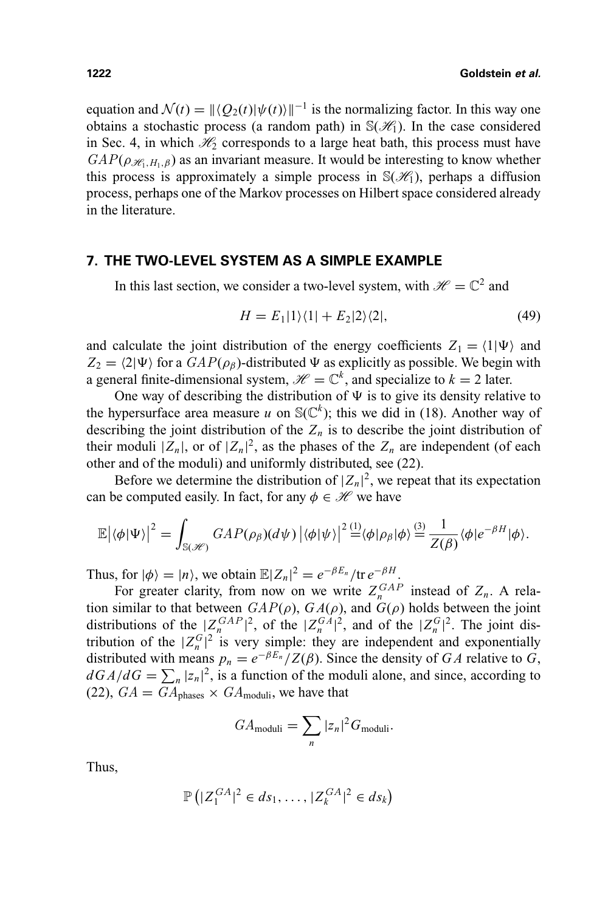equation and  $\mathcal{N}(t) = ||\langle Q_2(t)|\psi(t)\rangle||^{-1}$  is the normalizing factor. In this way one obtains a stochastic process (a random path) in  $\mathbb{S}(\mathcal{H}_1)$ . In the case considered in Sec. 4, in which  $\mathcal{H}_2$  corresponds to a large heat bath, this process must have  $GAP(\rho_{\mathcal{H},H_1,\beta})$  as an invariant measure. It would be interesting to know whether this process is approximately a simple process in  $\mathcal{S}(\mathcal{H}_1)$ , perhaps a diffusion process, perhaps one of the Markov processes on Hilbert space considered already in the literature.

# **7. THE TWO-LEVEL SYSTEM AS A SIMPLE EXAMPLE**

In this last section, we consider a two-level system, with  $\mathcal{H} = \mathbb{C}^2$  and

$$
H = E_1|1\rangle\langle 1| + E_2|2\rangle\langle 2|,\tag{49}
$$

and calculate the joint distribution of the energy coefficients  $Z_1 = \langle 1 | \Psi \rangle$  and  $Z_2 = \langle 2 | \Psi \rangle$  for a  $GAP(\rho_\beta)$ -distributed  $\Psi$  as explicitly as possible. We begin with a general finite-dimensional system,  $\mathcal{H} = \mathbb{C}^k$ , and specialize to  $k = 2$  later.

One way of describing the distribution of  $\Psi$  is to give its density relative to the hypersurface area measure *u* on  $S(\mathbb{C}^k)$ ; this we did in (18). Another way of describing the joint distribution of the  $Z_n$  is to describe the joint distribution of their moduli  $|Z_n|$ , or of  $|Z_n|^2$ , as the phases of the  $Z_n$  are independent (of each other and of the moduli) and uniformly distributed, see (22).

Before we determine the distribution of  $|Z_n|^2$ , we repeat that its expectation can be computed easily. In fact, for any  $\phi \in \mathcal{H}$  we have

$$
\mathbb{E}|\langle \phi | \Psi \rangle|^2 = \int_{\mathbb{S}(\mathscr{H})} GAP(\rho_{\beta})(d\psi) | \langle \phi | \psi \rangle|^2 \stackrel{(1)}{=} \langle \phi | \rho_{\beta} | \phi \rangle \stackrel{(3)}{=} \frac{1}{Z(\beta)} \langle \phi | e^{-\beta H} | \phi \rangle.
$$

Thus, for  $|\phi\rangle = |n\rangle$ , we obtain  $\mathbb{E}|Z_n|^2 = e^{-\beta E_n}/\text{tr } e^{-\beta H}$ .

For greater clarity, from now on we write  $Z_n^{GAP}$  instead of  $Z_n$ . A relation similar to that between  $GAP(\rho)$ ,  $GA(\rho)$ , and  $G(\rho)$  holds between the joint distributions of the  $|Z_n^{GAP}|^2$ , of the  $|Z_n^{G A}|^2$ , and of the  $|Z_n^{G}|^2$ . The joint distribution of the  $|Z_n^G|^2$  is very simple: they are independent and exponentially distributed with means  $p_n = e^{-\beta E_n} / Z(\beta)$ . Since the density of *GA* relative to *G*,  $dGA/dG = \sum_{n} |z_n|^2$ , is a function of the moduli alone, and since, according to (22),  $GA = GA_{phases} \times GA_{moduli}$ , we have that

$$
GA_{\text{moduli}} = \sum_{n} |z_n|^2 G_{\text{moduli}}.
$$

Thus,

$$
\mathbb{P}\left(|Z_1^{GA}|^2 \in ds_1, \ldots, |Z_k^{GA}|^2 \in ds_k\right)
$$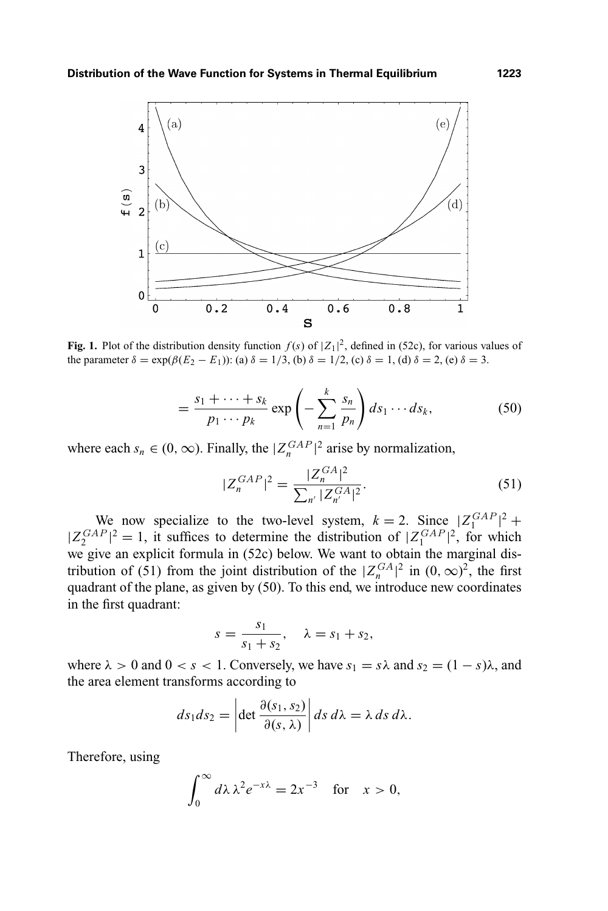

**Fig. 1.** Plot of the distribution density function  $f(s)$  of  $|Z_1|^2$ , defined in (52c), for various values of the parameter  $\delta = \exp(\beta(E_2 - E_1))$ : (a)  $\delta = 1/3$ , (b)  $\delta = 1/2$ , (c)  $\delta = 1$ , (d)  $\delta = 2$ , (e)  $\delta = 3$ .

$$
= \frac{s_1 + \dots + s_k}{p_1 \cdots p_k} \exp\left(-\sum_{n=1}^k \frac{s_n}{p_n}\right) ds_1 \cdots ds_k,
$$
 (50)

where each  $s_n \in (0, \infty)$ . Finally, the  $|Z_n^{GAP}|^2$  arise by normalization,

$$
|Z_n^{GAP}|^2 = \frac{|Z_n^{GA}|^2}{\sum_{n'} |Z_{n'}^{GA}|^2}.
$$
 (51)

We now specialize to the two-level system,  $k = 2$ . Since  $|Z_1^{GAP}|^2$  +  $|Z_2^{GAP}|^2 = 1$ , it suffices to determine the distribution of  $|Z_1^{GAP}|^2$ , for which we give an explicit formula in (52c) below. We want to obtain the marginal distribution of (51) from the joint distribution of the  $|Z_n^{GA}|^2$  in  $(0, \infty)^2$ , the first quadrant of the plane, as given by (50). To this end, we introduce new coordinates in the first quadrant:

$$
s = \frac{s_1}{s_1 + s_2}, \quad \lambda = s_1 + s_2,
$$

where  $\lambda > 0$  and  $0 < s < 1$ . Conversely, we have  $s_1 = s\lambda$  and  $s_2 = (1 - s)\lambda$ , and the area element transforms according to

$$
ds_1 ds_2 = \left| \det \frac{\partial (s_1, s_2)}{\partial (s, \lambda)} \right| ds \, d\lambda = \lambda \, ds \, d\lambda.
$$

Therefore, using

$$
\int_0^\infty d\lambda \lambda^2 e^{-x\lambda} = 2x^{-3} \text{ for } x > 0,
$$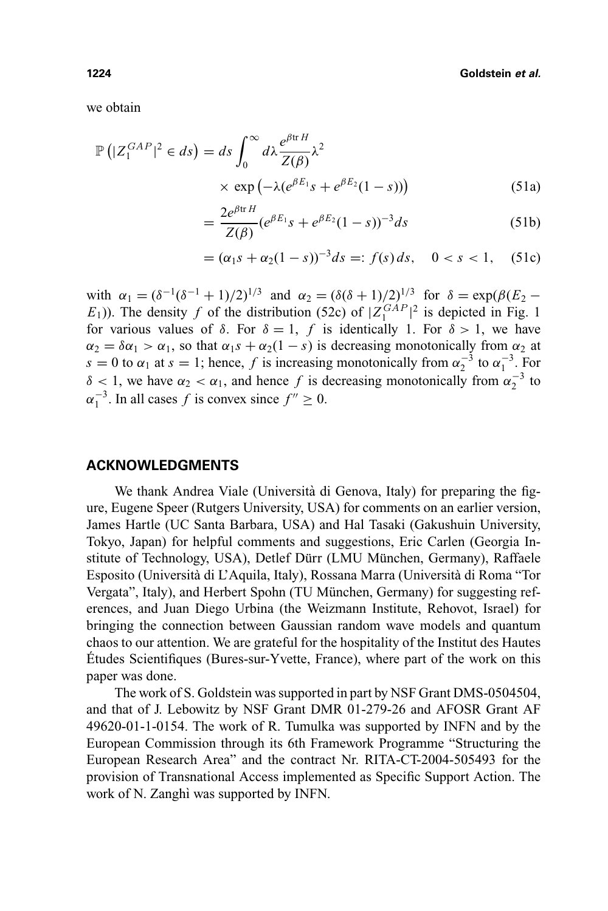we obtain

$$
\mathbb{P}\left(|Z_1^{GAP}|^2 \in ds\right) = ds \int_0^\infty d\lambda \frac{e^{\beta \text{tr}H}}{Z(\beta)} \lambda^2
$$
  
 
$$
\times \exp\left(-\lambda (e^{\beta E_1} s + e^{\beta E_2} (1-s))\right) \tag{51a}
$$

$$
= \frac{2e^{\beta \text{tr }H}}{Z(\beta)} (e^{\beta E_1} s + e^{\beta E_2} (1 - s))^{-3} ds \tag{51b}
$$

$$
= (\alpha_1 s + \alpha_2 (1 - s))^{-3} ds =: f(s) ds, \quad 0 < s < 1, \quad (51c)
$$

with  $\alpha_1 = (\delta^{-1}(\delta^{-1} + 1)/2)^{1/3}$  and  $\alpha_2 = (\delta(\delta + 1)/2)^{1/3}$  for  $\delta = \exp(\beta (E_2 (E_1)$ ). The density *f* of the distribution (52c) of  $|Z_1^{GAP}|^2$  is depicted in Fig. 1 for various values of  $\delta$ . For  $\delta = 1$ , *f* is identically 1. For  $\delta > 1$ , we have  $\alpha_2 = \delta \alpha_1 > \alpha_1$ , so that  $\alpha_1 s + \alpha_2 (1 - s)$  is decreasing monotonically from  $\alpha_2$  at  $s = 0$  to  $\alpha_1$  at  $s = 1$ ; hence, *f* is increasing monotonically from  $\alpha_2^{-3}$  to  $\alpha_1^{-3}$ . For  $\delta$  < 1, we have  $\alpha_2 < \alpha_1$ , and hence f is decreasing monotonically from  $\alpha_2^{-3}$  to  $\alpha_1^{-3}$ . In all cases *f* is convex since  $f'' \ge 0$ .

#### **ACKNOWLEDGMENTS**

We thank Andrea Viale (Università di Genova, Italy) for preparing the figure, Eugene Speer (Rutgers University, USA) for comments on an earlier version, James Hartle (UC Santa Barbara, USA) and Hal Tasaki (Gakushuin University, Tokyo, Japan) for helpful comments and suggestions, Eric Carlen (Georgia Institute of Technology, USA), Detlef Dürr (LMU München, Germany), Raffaele Esposito (Università di L'Aquila, Italy), Rossana Marra (Università di Roma "Tor Vergata", Italy), and Herbert Spohn (TU München, Germany) for suggesting references, and Juan Diego Urbina (the Weizmann Institute, Rehovot, Israel) for bringing the connection between Gaussian random wave models and quantum chaos to our attention. We are grateful for the hospitality of the Institut des Hautes Etudes Scientifiques (Bures-sur-Yvette, France), where part of the work on this ´ paper was done.

The work of S. Goldstein was supported in part by NSF Grant DMS-0504504, and that of J. Lebowitz by NSF Grant DMR 01-279-26 and AFOSR Grant AF 49620-01-1-0154. The work of R. Tumulka was supported by INFN and by the European Commission through its 6th Framework Programme "Structuring the European Research Area" and the contract Nr. RITA-CT-2004-505493 for the provision of Transnational Access implemented as Specific Support Action. The work of N. Zanghì was supported by INFN.